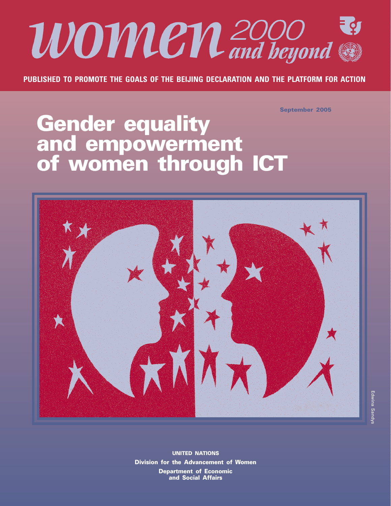

**PUBLISHED TO PROMOTE THE GOALS OF THE BEIJING DECLARATION AND THE PLATFORM FOR ACTION**

**September 2005**

# **Gender equality and empowerment of women through ICT**



**UNITED NATIONS Division for the Advancement of Women Department of Economic and Social Affairs**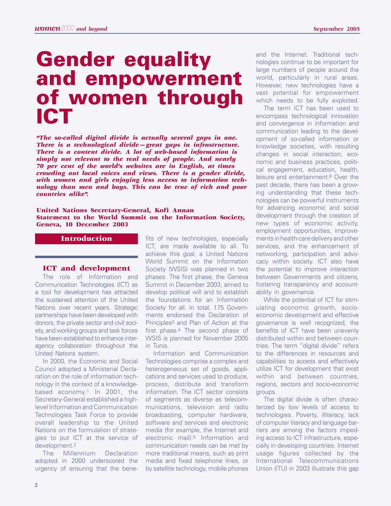# **Gender equality and empowerment of women through ICT**

*"The so-called digital divide is actually several gaps in one. There is a technological divide—great gaps in infrastructure. There is a content divide. A lot of web-based information is simply not relevant to the real needs of people. And nearly 70 per cent of the world's websites are in English, at times crowding out local voices and views. There is a gender divide, with women and girls enjoying less access to information technology than men and boys. This can be true of rich and poor countries alike".*

#### **United Nations Secretary-General, Kofi Annan Statement to the World Summit on the Information Society, Geneva, 10 December 2003**

# **Introduction**

#### **ICT and development**

The role of Information and Communication Technologies (ICT) as a tool for development has attracted the sustained attention of the United Nations over recent years. Strategic partnerships have been developed with donors, the private sector and civil society, and working groups and task forces have been established to enhance interagency collaboration throughout the United Nations system.

In 2000, the Economic and Social Council adopted a Ministerial Declaration on the role of information technology in the context of a knowledgebased economy.1 In 2001, the Secretary-General established a highlevel Information and Communication Technologies Task Force to provide overall leadership to the United Nations on the formulation of strategies to put ICT at the service of development.2

The Millennium Declaration adopted in 2000 underscored the urgency of ensuring that the bene-

fits of new technologies, especially ICT, are made available to all. To achieve this goal, a United Nations World Summit on the Information Society (WSIS) was planned in two phases. The first phase, the Geneva Summit in December 2003, aimed to develop political will and to establish the foundations for an Information Society for all. In total, 175 Governments endorsed the Declaration of Principles3 and Plan of Action at the first phase.4 The second phase of WSIS is planned for November 2005 in Tunis.

Information and Communication Technologies comprise a complex and heterogeneous set of goods, applications and services used to produce, process, distribute and transform information. The ICT sector consists of segments as diverse as telecommunications, television and radio broadcasting, computer hardware, software and services and electronic media (for example, the Internet and electronic mail).5 Information and communication needs can be met by more traditional means, such as print media and fixed telephone lines, or by satellite technology, mobile phones and the Internet. Traditional technologies continue to be important for large numbers of people around the world, particularly in rural areas. However, new technologies have a vast potential for empowerment which needs to be fully exploited.

The term ICT has been used to encompass technological innovation and convergence in information and communication leading to the development of so-called information or knowledge societies, with resulting changes in social interaction, economic and business practices, political engagement, education, health, leisure and entertainment.6 Over the past decade, there has been a growing understanding that these technologies can be powerful instruments for advancing economic and social development through the creation of new types of economic activity, employment opportunities, improvements in health-care delivery and other services, and the enhancement of networking, participation and advocacy within society. ICT also have the potential to improve interaction between Governments and citizens, fostering transparency and accountability in governance.

While the potential of ICT for stimulating economic growth, socioeconomic development and effective governance is well recognized, the benefits of ICT have been unevenly distributed within and between countries. The term "digital divide" refers to the differences in resources and capabilities to access and effectively utilize ICT for development that exist within and between countries, regions, sectors and socio-economic groups.

The digital divide is often characterized by low levels of access to technologies. Poverty, illiteracy, lack of computer literacy and language barriers are among the factors impeding access to ICT infrastructure, especially in developing countries. Internet usage figures collected by the International Telecommunications Union (ITU) in 2003 illustrate this gap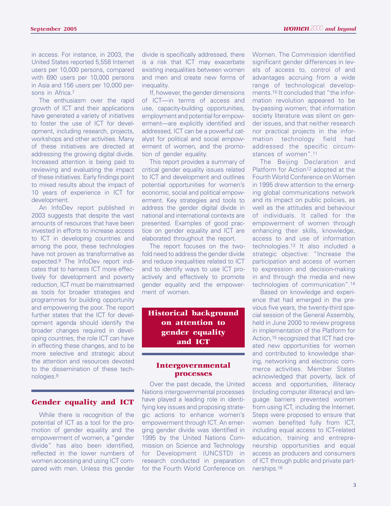in access. For instance, in 2003, the United States reported 5,558 Internet users per 10,000 persons, compared with 690 users per 10,000 persons in Asia and 156 users per 10,000 persons in Africa.7

The enthusiasm over the rapid growth of ICT and their applications have generated a variety of initiatives to foster the use of ICT for development, including research, projects, workshops and other activities. Many of these initiatives are directed at addressing the growing digital divide. Increased attention is being paid to reviewing and evaluating the impact of these initiatives. Early findings point to mixed results about the impact of 10 years of experience in ICT for development.

An InfoDev report published in 2003 suggests that despite the vast amounts of resources that have been invested in efforts to increase access to ICT in developing countries and among the poor, these technologies have not proven as transformative as expected.8 The InfoDev report indicates that to harness ICT more effectively for development and poverty reduction, ICT must be mainstreamed as tools for broader strategies and programmes for building opportunity and empowering the poor. The report further states that the ICT for development agenda should identify the broader changes required in developing countries, the role ICT can have in effecting these changes, and to be more selective and strategic about the attention and resources devoted to the dissemination of these technologies.9

## **Gender equality and ICT**

While there is recognition of the potential of ICT as a tool for the promotion of gender equality and the empowerment of women, a "gender divide" has also been identified, reflected in the lower numbers of women accessing and using ICT compared with men. Unless this gender divide is specifically addressed, there is a risk that ICT may exacerbate existing inequalities between women and men and create new forms of inequality.

If, however, the gender dimensions of ICT—in terms of access and use, capacity-building opportunities, employment and potential for empowerment—are explicitly identified and addressed, ICT can be a powerful catalyst for political and social empowerment of women, and the promotion of gender equality.

This report provides a summary of critical gender equality issues related to ICT and development and outlines potential opportunities for women's economic, social and political empowerment. Key strategies and tools to address the gender digital divide in national and international contexts are presented. Examples of good practice on gender equality and ICT are elaborated throughout the report.

The report focuses on the twofold need to address the gender divide and reduce inequalities related to ICT and to identify ways to use ICT proactively and effectively to promote gender equality and the empowerment of women.

**Historical background on attention to gender equality and ICT**

# **Intergovernmental processes**

Over the past decade, the United Nations intergovernmental processes have played a leading role in identifying key issues and proposing strategic actions to enhance women's empowerment through ICT. An emerging gender divide was identified in 1995 by the United Nations Commission on Science and Technology for Development (UNCSTD) in research conducted in preparation for the Fourth World Conference on Women. The Commission identified significant gender differences in levels of access to, control of and advantages accruing from a wide range of technological developments.10 It concluded that "the information revolution appeared to be by-passing women; that information society literature was silent on gender issues, and that neither research nor practical projects in the information technology field had addressed the specific circumstances of women".11

The Beijing Declaration and Platform for Action<sup>12</sup> adopted at the Fourth World Conference on Women in 1995 drew attention to the emerging global communications network and its impact on public policies, as well as the attitudes and behaviour of individuals. It called for the empowerment of women through enhancing their skills, knowledge, access to and use of information technologies.13 It also included a strategic objective: "Increase the participation and access of women to expression and decision-making in and through the media and new technologies of communication".14

Based on knowledge and experience that had emerged in the previous five years, the twenty-third special session of the General Assembly, held in June 2000 to review progress in implementation of the Platform for Action,15 recognized that ICT had created new opportunities for women and contributed to knowledge sharing, networking and electronic commerce activities. Member States acknowledged that poverty, lack of access and opportunities, illiteracy (including computer illiteracy) and language barriers prevented women from using ICT, including the Internet. Steps were proposed to ensure that women benefited fully from ICT, including equal access to ICT-related education, training and entrepreneurship opportunities and equal access as producers and consumers of ICT through public and private partnerships.16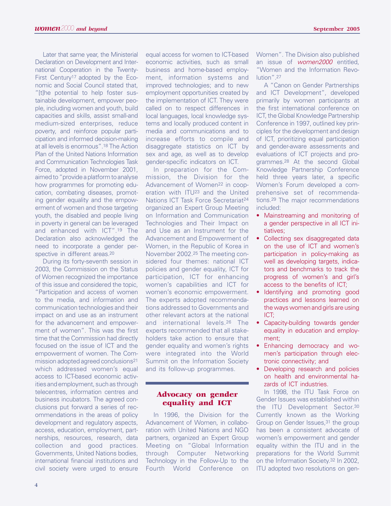Later that same year, the Ministerial Declaration on Development and International Cooperation in the Twenty-First Century<sup>17</sup> adopted by the Economic and Social Council stated that, "[t]he potential to help foster sustainable development, empower people, including women and youth, build capacities and skills, assist small-and medium-sized enterprises, reduce poverty, and reinforce popular participation and informed decision-making at all levels is enormous".18 The Action Plan of the United Nations Information and Communication Technologies Task Force, adopted in November 2001, aimed to "provide a platform to analyse how programmes for promoting education, combating diseases, promoting gender equality and the empowerment of women and those targeting youth, the disabled and people living in poverty in general can be leveraged and enhanced with ICT".19 The Declaration also acknowledged the need to incorporate a gender perspective in different areas.<sup>20</sup>

During its forty-seventh session in 2003, the Commission on the Status of Women recognized the importance of this issue and considered the topic, "Participation and access of women to the media, and information and communication technologies and their impact on and use as an instrument for the advancement and empowerment of women". This was the first time that the Commission had directly focused on the issue of ICT and the empowerment of women. The Commission adopted agreed conclusions21 which addressed women's equal access to ICT-based economic activities and employment, such as through telecentres, information centres and business incubators. The agreed conclusions put forward a series of recommendations in the areas of policy development and regulatory aspects, access, education, employment, partnerships, resources, research, data collection and good practices. Governments, United Nations bodies, international financial institutions and civil society were urged to ensure

equal access for women to ICT-based economic activities, such as small business and home-based employment, information systems and improved technologies; and to new employment opportunities created by the implementation of ICT. They were called on to respect differences in local languages, local knowledge systems and locally produced content in media and communications and to increase efforts to compile and disaggregate statistics on ICT by sex and age, as well as to develop gender-specific indicators on ICT.

In preparation for the Commission, the Division for the Advancement of Women<sup>22</sup> in cooperation with ITU23 and the United Nations ICT Task Force Secretariat24 organized an Expert Group Meeting on Information and Communication Technologies and Their Impact on and Use as an Instrument for the Advancement and Empowerment of Women, in the Republic of Korea in November 2002.25 The meeting considered four themes: national ICT policies and gender equality, ICT for participation, ICT for enhancing women's capabilities and ICT for women's economic empowerment. The experts adopted recommendations addressed to Governments and other relevant actors at the national and international levels.26 The experts recommended that all stakeholders take action to ensure that gender equality and women's rights were integrated into the World Summit on the Information Society and its follow-up programmes.

# **Advocacy on gender equality and ICT**

In 1996, the Division for the Advancement of Women, in collaboration with United Nations and NGO partners, organized an Expert Group Meeting on "Global Information through Computer Networking Technology in the Follow-Up to the Fourth World Conference on Women". The Division also published an issue of women2000 entitled, "Women and the Information Revolution".27

A "Canon on Gender Partnerships and ICT Development", developed primarily by women participants at the first international conference on ICT, the Global Knowledge Partnership Conference in 1997, outlined key principles for the development and design of ICT, prioritizing equal participation and gender-aware assessments and evaluations of ICT projects and programmes.28 At the second Global Knowledge Partnership Conference held three years later, a specific Women's Forum developed a comprehensive set of recommendations.29 The major recommendations included:

- Mainstreaming and monitoring of a gender perspective in all ICT initiatives;
- Collecting sex disaggregated data on the use of ICT and women's participation in policy-making as well as developing targets, indicators and benchmarks to track the progress of women's and girl's access to the benefits of ICT;
- Identifying and promoting good practices and lessons learned on the ways women and girls are using ICT;
- Capacity-building towards gender equality in education and employment;
- Enhancing democracy and women's participation through electronic connectivity; and
- Developing research and policies on health and environmental hazards of ICT industries.

In 1998, the ITU Task Force on Gender Issues was established within the ITU Development Sector.30 Currently known as the Working Group on Gender Issues,<sup>31</sup> the group has been a consistent advocate of women's empowerment and gender equality within the ITU and in the preparations for the World Summit on the Information Society.32 In 2002, ITU adopted two resolutions on gen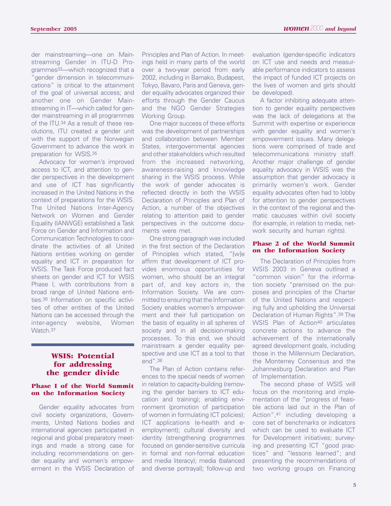der mainstreaming—one on Mainstreaming Gender in ITU-D Programmes33—which recognized that a 'gender dimension in telecommunications" is critical to the attainment of the goal of universal access; and another one on Gender Mainstreaming in IT—which called for gender mainstreaming in all programmes of the ITU.34 As a result of these resolutions, ITU created a gender unit with the support of the Norwegian Government to advance the work in preparation for WSIS.35

Advocacy for women's improved access to ICT, and attention to gender perspectives in the development and use of ICT has significantly increased in the United Nations in the context of preparations for the WSIS. The United Nations Inter-Agency Network on Women and Gender Equality (IANWGE) established a Task Force on Gender and Information and Communication Technologies to coordinate the activities of all United Nations entities working on gender equality and ICT in preparation for WSIS. The Task Force produced fact sheets on gender and ICT for WSIS Phase I, with contributions from a broad range of United Nations entities.36 Information on specific activities of other entities of the United Nations can be accessed through the inter-agency website, Women Watch.37

## **WSIS: Potential for addressing the gender divide**

#### **Phase I of the World Summit on the Information Society**

Gender equality advocates from civil society organizations, Governments, United Nations bodies and international agencies participated in regional and global preparatory meetings and made a strong case for including recommendations on gender equality and women's empowerment in the WSIS Declaration of

Principles and Plan of Action. In meetings held in many parts of the world over a two-year period from early 2002, including in Bamako, Budapest, Tokyo, Bavaro, Paris and Geneva, gender equality advocates organized their efforts through the Gender Caucus and the NGO Gender Strategies Working Group.

One major success of these efforts was the development of partnerships and collaboration between Member States, intergovernmental agencies and other stakeholders which resulted from the increased networking, awareness-raising and knowledge sharing in the WSIS process. While the work of gender advocates is reflected directly in both the WSIS Declaration of Principles and Plan of Action, a number of the objectives relating to attention paid to gender perspectives in the outcome documents were met.

One strong paragraph was included in the first section of the Declaration of Principles which stated, "[w]e affirm that development of ICT provides enormous opportunities for women, who should be an integral part of, and key actors in, the Information Society. We are committed to ensuring that the Information Society enables women's empowerment and their full participation on the basis of equality in all spheres of society and in all decision-making processes. To this end, we should mainstream a gender equality perspective and use ICT as a tool to that end".38

The Plan of Action contains references to the special needs of women in relation to capacity-building (removing the gender barriers to ICT education and training); enabling environment (promotion of participation of women in formulating ICT policies); ICT applications (e-health and eemployment); cultural diversity and identity (strengthening programmes focused on gender-sensitive curricula in formal and non-formal education and media literacy); media (balanced and diverse portrayal); follow-up and evaluation (gender-specific indicators on ICT use and needs and measurable performance indicators to assess the impact of funded ICT projects on the lives of women and girls should be developed).

A factor inhibiting adequate attention to gender equality perspectives was the lack of delegations at the Summit with expertise or experience with gender equality and women's empowerment issues. Many delegations were comprised of trade and telecommunications ministry staff. Another major challenge of gender equality advocacy in WSIS was the assumption that gender advocacy is primarily women's work. Gender equality advocates often had to lobby for attention to gender perspectives in the context of the regional and thematic caucuses within civil society (for example, in relation to media, network security and human rights).

#### **Phase 2 of the World Summit on the Information Society**

The Declaration of Principles from WSIS 2003 in Geneva outlined a "common vision" for the information society "premised on the purposes and principles of the Charter of the United Nations and respecting fully and upholding the Universal Declaration of Human Rights".39 The WSIS Plan of Action<sup>40</sup> articulates concrete actions to advance the achievement of the internationally agreed development goals, including those in the Millennium Declaration, the Monterrey Consensus and the Johannesburg Declaration and Plan of Implementation.

The second phase of WSIS will focus on the monitoring and implementation of the "progress of feasible actions laid out in the Plan of Action",41 including developing a core set of benchmarks or indicators which can be used to evaluate ICT for Development initiatives; surveying and presenting ICT "good practices" and "lessons learned"; and presenting the recommendations of two working groups on Financing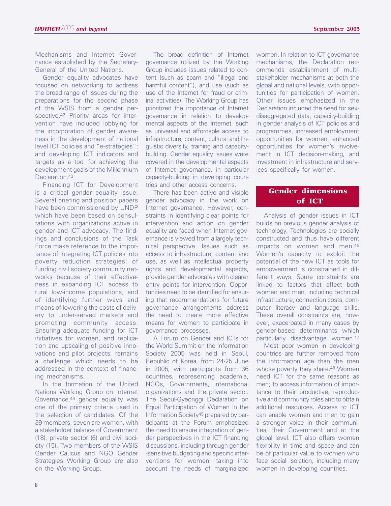Mechanisms and Internet Governance established by the Secretary-General of the United Nations.

Gender equality advocates have focused on networking to address the broad range of issues during the preparations for the second phase of the WSIS from a gender perspective.42 Priority areas for intervention have included lobbying for the incorporation of gender awareness in the development of national level ICT policies and "e-strategies"; and developing ICT indicators and targets as a tool for achieving the development goals of the Millennium Declaration.<sup>43</sup>

Financing ICT for Development is a critical gender equality issue. Several briefing and position papers have been commissioned by UNDP which have been based on consultations with organizations active in gender and ICT advocacy. The findings and conclusions of the Task Force make reference to the importance of integrating ICT policies into poverty reduction strategies; of funding civil society community networks because of their effectiveness in expanding ICT access to rural low-income populations; and of identifying further ways and means of lowering the costs of delivery to under-served markets and promoting community access. Ensuring adequate funding for ICT initiatives for women, and replication and upscaling of positive innovations and pilot projects, remains a challenge which needs to be addressed in the context of financing mechanisms.

In the formation of the United Nations Working Group on Internet Governance, <sup>44</sup> gender equality was one of the primary criteria used in the selection of candidates. Of the 39 members, seven are women, with a stakeholder balance of Government (18), private sector (6) and civil society (15). Two members of the WSIS Gender Caucus and NGO Gender Strategies Working Group are also on the Working Group.

The broad definition of Internet governance utilized by the Working Group includes issues related to content (such as spam and "illegal and harmful content"), and use (such as use of the Internet for fraud or criminal activities). The Working Group has prioritized the importance of Internet governance in relation to developmental aspects of the Internet, such as universal and affordable access to infrastructure, content, cultural and linguistic diversity, training and capacitybuilding. Gender equality issues were covered in the developmental aspects of Internet governance, in particular capacity-building in developing countries and other access concerns.

There has been active and visible gender advocacy in the work on Internet governance. However, constraints in identifying clear points for intervention and action on gender equality are faced when Internet governance is viewed from a largely technical perspective. Issues such as access to infrastructure, content and use, as well as intellectual property rights and developmental aspects, provide gender advocates with clearer entry points for intervention. Opportunities need to be identified for ensuring that recommendations for future governance arrangements address the need to create more effective means for women to participate in governance processes.

A Forum on Gender and ICTs for the World Summit on the Information Society 2005 was held in Seoul, Republic of Korea, from 24-25 June in 2005, with participants from 36 countries, representing academia, NGOs, Governments, international organizations and the private sector. The Seoul-Gyeonggi Declaration on Equal Participation of Women in the Information Society45 prepared by participants at the Forum emphasized the need to ensure integration of gender perspectives in the ICT financing discussions, including through gender -sensitive budgeting and specific interventions for women, taking into account the needs of marginalized women. In relation to ICT governance mechanisms, the Declaration recommends establishment of multistakeholder mechanisms at both the global and national levels, with opportunities for participation of women. Other issues emphasized in the Declaration included the need for sexdisaggregated data, capacity-building in gender analysis of ICT policies and programmes, increased employment opportunities for women, enhanced opportunities for women's involvement in ICT decision-making, and investment in infrastructure and services specifically for women.

# **Gender dimensions of ICT**

Analysis of gender issues in ICT builds on previous gender analysis of technology. Technologies are socially constructed and thus have different impacts on women and men.46 Women's capacity to exploit the potential of the new ICT as tools for empowerment is constrained in different ways. Some constraints are linked to factors that affect both women and men, including technical infrastructure, connection costs, computer literacy and language skills. These overall constraints are, however, exacerbated in many cases by gender-based determinants which particularly disadvantage women.47

Most poor women in developing countries are further removed from the information age than the men whose poverty they share.<sup>48</sup> Women need ICT for the same reasons as men; to access information of importance to their productive, reproductive and community roles and to obtain additional resources. Access to ICT can enable women and men to gain a stronger voice in their communities, their Government and at the global level. ICT also offers women flexibility in time and space and can be of particular value to women who face social isolation, including many women in developing countries.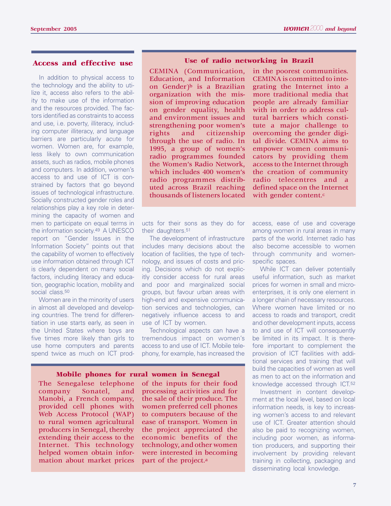# **Access and effective use**

In addition to physical access to the technology and the ability to utilize it, access also refers to the ability to make use of the information and the resources provided. The factors identified as constraints to access and use, i.e. poverty, illiteracy, including computer illiteracy, and language barriers are particularly acute for women. Women are, for example, less likely to own communication assets, such as radios, mobile phones and computers. In addition, women's access to and use of ICT is constrained by factors that go beyond issues of technological infrastructure. Socially constructed gender roles and relationships play a key role in determining the capacity of women and men to participate on equal terms in the information society.49 A UNESCO report on "Gender Issues in the Information Society" points out that the capability of women to effectively use information obtained through ICT is clearly dependent on many social factors, including literacy and education, geographic location, mobility and social class.<sup>50</sup>

Women are in the minority of users in almost all developed and developing countries. The trend for differentiation in use starts early, as seen in the United States where boys are five times more likely than girls to use home computers and parents spend twice as much on ICT prod-

#### **Use of radio networking in Brazil**

CEMINA (Communication, Education, and Information on Gender)<sup>b</sup> is a Brazilian organization with the mission of improving education on gender equality, health and environment issues and strengthening poor women's rights and citizenship through the use of radio. In 1995, a group of women's radio programmes founded the Women's Radio Network, which includes 400 women's radio programmes distributed across Brazil reaching thousands of listeners located

in the poorest communities. CEMINA is committed to integrating the Internet into a more traditional media that people are already familiar with in order to address cultural barriers which constitute a major challenge to overcoming the gender digital divide. CEMINA aims to empower women communicators by providing them access to the Internet through the creation of community radio telecentres and a defined space on the Internet with gender content.<sup>c</sup>

ucts for their sons as they do for their daughters.51

The development of infrastructure includes many decisions about the location of facilities, the type of technology, and issues of costs and pricing. Decisions which do not explicitly consider access for rural areas and poor and marginalized social groups, but favour urban areas with high-end and expensive communication services and technologies, can negatively influence access to and use of ICT by women.

Technological aspects can have a tremendous impact on women's access to and use of ICT. Mobile telephony, for example, has increased the

#### **Mobile phones for rural women in Senegal**

The Senegalese telephone company Sonatel, and Manobi, a French company, provided cell phones with Web Access Protocol (WAP) to rural women agricultural producers in Senegal, thereby extending their access to the Internet. This technology helped women obtain information about market prices of the inputs for their food processing activities and for the sale of their produce. The women preferred cell phones to computers because of the ease of transport. Women in the project appreciated the economic benefits of the technology, and other women were interested in becoming part of the project.a

access, ease of use and coverage among women in rural areas in many parts of the world. Internet radio has also become accessible to women through community and womenspecific spaces.

While ICT can deliver potentially useful information, such as market prices for women in small and microenterprises, it is only one element in a longer chain of necessary resources. Where women have limited or no access to roads and transport, credit and other development inputs, access to and use of ICT will consequently be limited in its impact. It is therefore important to complement the provision of ICT facilities with additional services and training that will build the capacities of women as well as men to act on the information and knowledge accessed through ICT.52

Investment in content development at the local level, based on local information needs, is key to increasing women's access to and relevant use of ICT. Greater attention should also be paid to recognizing women, including poor women, as information producers, and supporting their involvement by providing relevant training in collecting, packaging and disseminating local knowledge.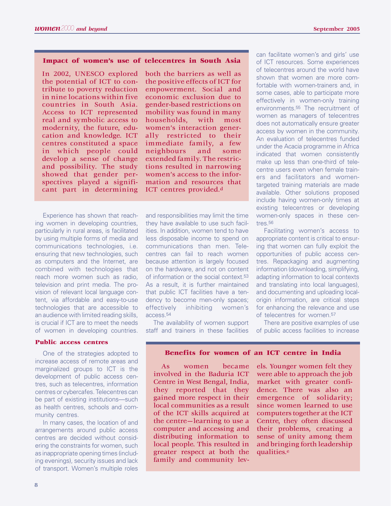#### **Impact of women's use of telecentres in South Asia**

In 2002, UNESCO explored the potential of ICT to contribute to poverty reduction in nine locations within five countries in South Asia. Access to ICT represented real and symbolic access to modernity, the future, education and knowledge. ICT centres constituted a space in which people could develop a sense of change and possibility. The study showed that gender perspectives played a significant part in determining

Experience has shown that reaching women in developing countries, particularly in rural areas, is facilitated by using multiple forms of media and communications technologies, i.e. ensuring that new technologies, such as computers and the Internet, are combined with technologies that reach more women such as radio, television and print media. The provision of relevant local language content, via affordable and easy-to-use technologies that are accessible to an audience with limited reading skills, is crucial if ICT are to meet the needs of women in developing countries.

#### **Public access centres**

One of the strategies adopted to increase access of remote areas and marginalized groups to ICT is the development of public access centres, such as telecentres, information centres or cybercafes. Telecentres can be part of existing institutions—such as health centres, schools and community centres.

In many cases, the location of and arrangements around public access centres are decided without considering the constraints for women, such as inappropriate opening times (including evenings), security issues and lack of transport. Women's multiple roles both the barriers as well as the positive effects of ICT for empowerment. Social and economic exclusion due to gender-based restrictions on mobility was found in many households, with most women's interaction generally restricted to their immediate family, a few neighbours and some extended family. The restrictions resulted in narrowing women's access to the information and resources that ICT centres provided.d

and responsibilities may limit the time they have available to use such facilities. In addition, women tend to have less disposable income to spend on communications than men. Telecentres can fail to reach women because attention is largely focused on the hardware, and not on content of information or the social context.53 As a result, it is further maintained that public ICT facilities have a tendency to become men-only spaces; effectively inhibiting women's access.54

The availability of women support staff and trainers in these facilities

can facilitate women's and girls' use of ICT resources. Some experiences of telecentres around the world have shown that women are more comfortable with women-trainers and, in some cases, able to participate more effectively in women-only training environments.55 The recruitment of women as managers of telecentres does not automatically ensure greater access by women in the community. An evaluation of telecentres funded under the Acacia programme in Africa indicated that women consistently make up less than one-third of telecentre users even when female trainers and facilitators and womentargeted training materials are made available. Other solutions proposed include having women-only times at existing telecentres or developing women-only spaces in these centres.56

Facilitating women's access to appropriate content is critical to ensuring that women can fully exploit the opportunities of public access centres. Repackaging and augmenting information (downloading, simplifying, adapting information to local contexts and translating into local languages), and documenting and uploading localorigin information, are critical steps for enhancing the relevance and use of telecentres for women.<sup>57</sup>

There are positive examples of use of public access facilities to increase

#### **Benefits for women of an ICT centre in India**

As women became involved in the Baduria ICT Centre in West Bengal, India, they reported that they gained more respect in their local communities as a result of the ICT skills acquired at the centre—learning to use a computer and accessing and distributing information to local people. This resulted in greater respect at both the family and community levels. Younger women felt they were able to approach the job market with greater confidence. There was also an emergence of solidarity; since women learned to use computers together at the ICT Centre, they often discussed their problems, creating a sense of unity among them and bringing forth leadership qualities.e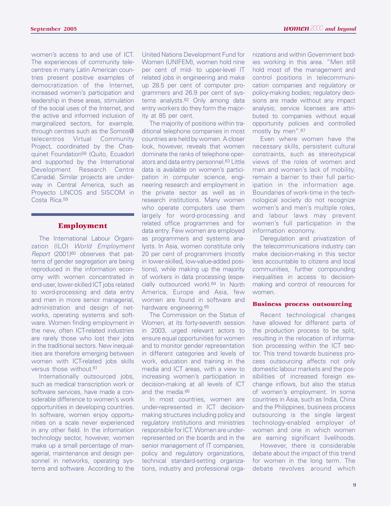women's access to and use of ICT. The experiences of community telecentres in many Latin American countries present positive examples of democratization of the Internet, increased women's participation and leadership in these areas, stimulation of the social uses of the Internet, and the active and informed inclusion of marginalized sectors, for example, through centres such as the Somos@ telecentros Virtual Community Project, coordinated by the Chasquinet Foundation58 (Quito, Ecuador) and supported by the International Development Research Centre (Canada). Similar projects are underway in Central America, such as Proyecto LINCOS and SISCOM in Costa Rica.59

#### **Employment**

The International Labour Organization (ILO) World Employment Report (2001)<sup>60</sup> observes that patterns of gender segregation are being reproduced in the information economy with women concentrated in end-user, lower-skilled ICT jobs related to word-processing and data entry and men in more senior managerial, administration and design of networks, operating systems and software. Women finding employment in the new, often ICT-related industries are rarely those who lost their jobs in the traditional sectors. New inequalities are therefore emerging between women with ICT-related jobs skills versus those without.<sup>61</sup>

Internationally outsourced jobs, such as medical transcription work or software services, have made a considerable difference to women's work opportunities in developing countries. In software, women enjoy opportunities on a scale never experienced in any other field. In the information technology sector, however, women make up a small percentage of managerial, maintenance and design personnel in networks, operating systems and software. According to the

United Nations Development Fund for Women (UNIFEM), women hold nine per cent of mid- to upper-level IT related jobs in engineering and make up 28.5 per cent of computer programmers and 26.9 per cent of systems analysts.62 Only among data entry workers do they form the majority at 85 per cent.

The majority of positions within traditional telephone companies in most countries are held by women. A closer look, however, reveals that women dominate the ranks of telephone operators and data entry personnel.63 Little data is available on women's participation in computer science, engineering research and employment in the private sector as well as in research institutions. Many women who operate computers use them largely for word-processing and related office programmes and for data entry. Few women are employed as programmers and systems analysts. In Asia, women constitute only 20 per cent of programmers (mostly in lower-skilled, low-value-added positions), while making up the majority of workers in data processing (especially outsourced work).64 In North America, Europe and Asia, few women are found in software and hardware engineering.65

The Commission on the Status of Women, at its forty-seventh session in 2003, urged relevant actors to ensure equal opportunities for women and to monitor gender representation in different categories and levels of work, education and training in the media and ICT areas, with a view to increasing women's participation in decision-making at all levels of ICT and the media.66

In most countries, women are under-represented in ICT decisionmaking structures including policy and regulatory institutions and ministries responsible for ICT. Women are underrepresented on the boards and in the senior management of IT companies, policy and regulatory organizations, technical standard-setting organizations, industry and professional orga-

nizations and within Government bodies working in this area. "Men still hold most of the management and control positions in telecommunication companies and regulatory or policy-making bodies; regulatory decisions are made without any impact analysis; service licenses are attributed to companies without equal opportunity policies and controlled mostly by men".67

Even where women have the necessary skills, persistent cultural constraints, such as stereotypical views of the roles of women and men and women's lack of mobility, remain a barrier to their full participation in the information age. Boundaries of work-time in the technological society do not recognize women's and men's multiple roles, and labour laws may prevent women's full participation in the information economy.

Deregulation and privatization of the telecommunications industry can make decision-making in this sector less accountable to citizens and local communities, further compounding inequalities in access to decisionmaking and control of resources for women.

#### **Business process outsourcing**

Recent technological changes have allowed for different parts of the production process to be split, resulting in the relocation of information processing within the ICT sector. This trend towards business process outsourcing affects not only domestic labour markets and the possibilities of increased foreign exchange inflows, but also the status of women's employment. In some countries in Asia, such as India, China and the Philippines, business process outsourcing is the single largest technology-enabled employer of women and one in which women are earning significant livelihoods.

However, there is considerable debate about the impact of this trend for women in the long term. The debate revolves around which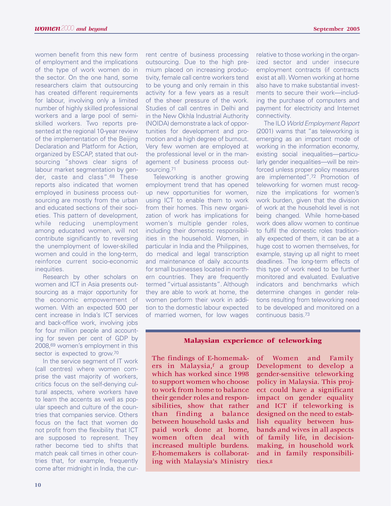women benefit from this new form of employment and the implications of the type of work women do in the sector. On the one hand, some researchers claim that outsourcing has created different requirements for labour, involving only a limited number of highly skilled professional workers and a large pool of semiskilled workers. Two reports presented at the regional 10-year review of the implementation of the Beijing Declaration and Platform for Action, organized by ESCAP, stated that outsourcing "shows clear signs of labour market segmentation by gender, caste and class".68 These reports also indicated that women employed in business process outsourcing are mostly from the urban and educated sections of their societies. This pattern of development, while reducing unemployment among educated women, will not contribute significantly to reversing the unemployment of lower-skilled women and could in the long-term, reinforce current socio-economic inequities.

Research by other scholars on women and ICT in Asia presents outsourcing as a major opportunity for the economic empowerment of women. With an expected 500 per cent increase in India's ICT services and back-office work, involving jobs for four million people and accounting for seven per cent of GDP by 2008,69 women's employment in this sector is expected to grow.<sup>70</sup>

In the service segment of IT work (call centres) where women comprise the vast majority of workers, critics focus on the self-denying cultural aspects, where workers have to learn the accents as well as popular speech and culture of the countries that companies service. Others focus on the fact that women do not profit from the flexibility that ICT are supposed to represent. They rather become tied to shifts that match peak call times in other countries that, for example, frequently come after midnight in India, the current centre of business processing outsourcing. Due to the high premium placed on increasing productivity, female call centre workers tend to be young and only remain in this activity for a few years as a result of the sheer pressure of the work. Studies of call centres in Delhi and in the New Okhla Industrial Authority (NOIDA) demonstrate a lack of opportunities for development and promotion and a high degree of burnout. Very few women are employed at the professional level or in the management of business process outsourcing.71

Teleworking is another growing employment trend that has opened up new opportunities for women, using ICT to enable them to work from their homes. This new organization of work has implications for women's multiple gender roles, including their domestic responsibilities in the household. Women, in particular in India and the Philippines, do medical and legal transcription and maintenance of daily accounts for small businesses located in northern countries. They are frequently termed "virtual assistants". Although they are able to work at home, the women perform their work in addition to the domestic labour expected of married women, for low wages relative to those working in the organized sector and under insecure employment contracts (if contracts exist at all). Women working at home also have to make substantial investments to secure their work—including the purchase of computers and payment for electricity and Internet connectivity.

The ILO World Employment Report (2001) warns that "as teleworking is emerging as an important mode of working in the information economy, existing social inequalities—particularly gender inequalities—will be reinforced unless proper policy measures are implemented".72 Promotion of teleworking for women must recognize the implications for women's work burden, given that the division of work at the household level is not being changed. While home-based work does allow women to continue to fulfil the domestic roles traditionally expected of them, it can be at a huge cost to women themselves, for example, staying up all night to meet deadlines. The long-term effects of this type of work need to be further monitored and evaluated. Evaluative indicators and benchmarks which determine changes in gender relations resulting from teleworking need to be developed and monitored on a continuous basis.73

#### **Malaysian experience of teleworking**

The findings of E-homemakers in Malaysia, a group which has worked since 1998 to support women who choose to work from home to balance their gender roles and responsibilities, show that rather than finding a balance between household tasks and paid work done at home, women often deal with increased multiple burdens. E-homemakers is collaborating with Malaysia's Ministry

of Women and Family Development to develop a gender-sensitive teleworking policy in Malaysia. This project could have a significant impact on gender equality and ICT if teleworking is designed on the need to establish equality between husbands and wives in all aspects of family life, in decisionmaking, in household work and in family responsibilities.g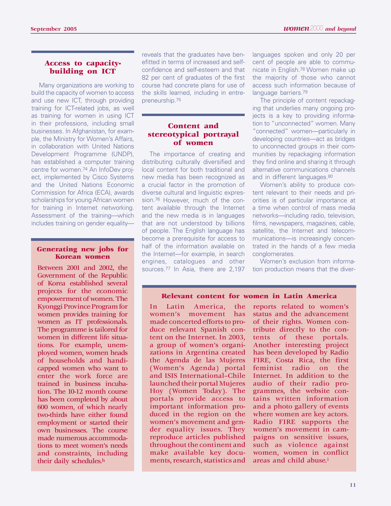# **Access to capacitybuilding on ICT**

Many organizations are working to build the capacity of women to access and use new ICT, through providing training for ICT-related jobs, as well as training for women in using ICT in their professions, including small businesses. In Afghanistan, for example, the Ministry for Women's Affairs, in collaboration with United Nations Development Programme (UNDP), has established a computer training centre for women.74 An InfoDev project, implemented by Cisco Systems and the United Nations Economic Commission for Africa (ECA), awards scholarships for young African women for training in Internet networking. Assessment of the training—which includes training on gender equality—

# **Generating new jobs for Korean women**

Government of the Republic of Korea established several projects for the economic empowerment of women. The Kyonggi Province Program for women provides training for women as IT professionals. The programme is tailored for women in different life situations. For example, unemployed women, women heads of households and handicapped women who want to enter the work force are trained in business incubation. The 10-12 month course has been completed by about 600 women, of which nearly two-thirds have either found employment or started their own businesses. The course made numerous accommodations to meet women's needs and constraints, including their daily schedules.h

reveals that the graduates have benefitted in terms of increased and selfconfidence and self-esteem and that 82 per cent of graduates of the first course had concrete plans for use of the skills learned, including in entrepreneurship.75

# **Content and stereotypical portrayal of women**

The importance of creating and distributing culturally diversified and local content for both traditional and new media has been recognized as a crucial factor in the promotion of diverse cultural and linguistic expression.76 However, much of the content available through the Internet and the new media is in languages that are not understood by billions of people. The English language has become a prerequisite for access to half of the information available on the Internet—for example, in search engines, catalogues and other

languages spoken and only 20 per cent of people are able to communicate in English.78 Women make up the majority of those who cannot access such information because of language barriers.79

The principle of content repackaging that underlies many ongoing projects is a key to providing information to "unconnected" women. Many "connected" women—particularly in developing countries—act as bridges to unconnected groups in their communities by repackaging information they find online and sharing it through alternative communications channels and in different languages.80

Women's ability to produce content relevant to their needs and priorities is of particular importance at a time when control of mass media networks—including radio, television, films, newspapers, magazines, cable, satellite, the Internet and telecommunications—is increasingly concentrated in the hands of a few media conglomerates.

Between 2001 and 2002, the sources.<sup>77</sup> In Asia, there are 2,197 tion production means that the diver-Women's exclusion from informa-

# **Relevant content for women in Latin America**

In Latin America, the women's movement has made concerted efforts to produce relevant Spanish content on the Internet. In 2003, a group of women's organizations in Argentina created the Agenda de las Mujeres (Women's Agenda) portal and ISIS International–Chile launched their portal Mujeres Hoy (Women Today). The portals provide access to important information produced in the region on the women's movement and gender equality issues. They reproduce articles published throughout the continent and make available key documents, research, statistics and

reports related to women's status and the advancement of their rights. Women contribute directly to the contents of these portals. Another interesting project has been developed by Radio FIRE, Costa Rica, the first feminist radio on the Internet. In addition to the audio of their radio programmes, the website contains written information and a photo gallery of events where women are key actors. Radio FIRE supports the women's movement in campaigns on sensitive issues, such as violence against women, women in conflict areas and child abuse.i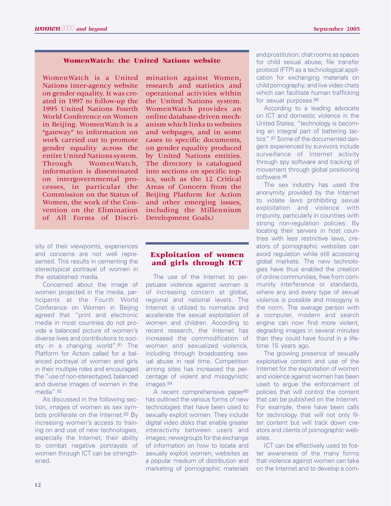# **WomenWatch: the United Nations website**

WomenWatch is a United Nations inter-agency website on gender equality. It was created in 1997 to follow-up the 1995 United Nations Fourth World Conference on Women in Beijing. WomenWatch is a "gateway" to information on work carried out to promote gender equality across the entire United Nations system. Through WomenWatch, information is disseminated on intergovernmental processes, in particular the Commission on the Status of Women, the work of the Convention on the Elimination of All Forms of Discri-

sity of their viewpoints, experiences and concerns are not well represented. This results in cementing the stereotypical portrayal of women in the established media.

Concerned about the image of women projected in the media, participants at the Fourth World Conference on Women in Beijing agreed that "print and electronic media in most countries do not provide a balanced picture of women's diverse lives and contributions to society in a changing world".81 The Platform for Action called for a balanced portrayal of women and girls in their multiple roles and encouraged the "use of non-stereotyped, balanced and diverse images of women in the media" 82

As discussed in the following section, images of women as sex symbols proliferate on the Internet.<sup>83</sup> By increasing women's access to training on and use of new technologies, especially the Internet, their ability to combat negative portrayals of women through ICT can be strengthened.

mination against Women, research and statistics and operational activities within the United Nations system. WomenWatch provides an online database-driven mechanism which links to websites and webpages, and in some cases to specific documents, on gender equality produced by United Nations entities. The directory is catalogued into sections on specific topics, such as the 12 Critical Areas of Concern from the Beijing Platform for Action and other emerging issues, including the Millennium Development Goals.j

# **Exploitation of women and girls through ICT**

The use of the Internet to perpetuate violence against women is of increasing concern at global, regional and national levels. The Internet is utilized to normalize and accelerate the sexual exploitation of women and children. According to recent research, the Internet has increased the commodification of women and sexualized violence, including through broadcasting sexual abuse in real time. Competition among sites has increased the percentage of violent and misogynistic images.<sup>84</sup>

A recent comprehensive paper<sup>85</sup> has outlined the various forms of new technologies that have been used to sexually exploit women. They include digital video disks that enable greater interactivity between users and images; newsgroups for the exchange of information on how to locate and sexually exploit women; websites as a popular medium of distribution and marketing of pornographic materials

and prostitution; chat rooms as spaces for child sexual abuse; file transfer protocol (FTP) as a technological application for exchanging materials on child pornography; and live video chats which can facilitate human trafficking for sexual purposes.86

According to a leading advocate on ICT and domestic violence in the United States, "technology is becoming an integral part of battering tactics".87 Some of the documented dangers experienced by survivors include surveillance of Internet activity through spy software and tracking of movement through global positioning software.88

The sex industry has used the anonymity provided by the Internet to violate laws prohibiting sexual exploitation and violence with impunity, particularly in countries with strong non-regulation policies. By locating their servers in host countries with less restrictive laws, creators of pornographic websites can avoid regulation while still accessing global markets. The new technologies have thus enabled the creation of online communities, free from community interference or standards, where any and every type of sexual violence is possible and misogyny is the norm. The average person with a computer, modem and search engine can now find more violent, degrading images in several minutes than they could have found in a lifetime 15 years ago.

The growing presence of sexually exploitative content and use of the Internet for the exploitation of women and violence against women has been used to argue the enforcement of policies that will control the content that can be published on the Internet. For example, there have been calls for technology that will not only filter content but will track down creators and clients of pornographic websites.

ICT can be effectively used to foster awareness of the many forms that violence against women can take on the Internet and to develop a com-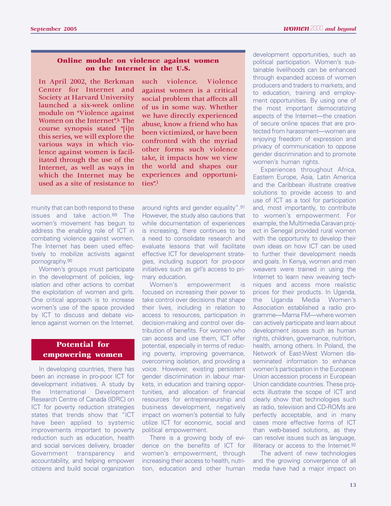# **Online module on violence against women on the Internet in the U.S.**

In April 2002, the Berkman Center for Internet and Society at Harvard University launched a six-week online module on "Violence against Women on the Internet".k The course synopsis stated "[i]n this series, we will explore the various ways in which violence against women is facilitated through the use of the Internet, as well as ways in which the Internet may be used as a site of resistance to

munity that can both respond to these issues and take action.89 The women's movement has begun to address the enabling role of ICT in combating violence against women. The Internet has been used effectively to mobilize activists against pornography.90

Women's groups must participate in the development of policies, legislation and other actions to combat the exploitation of women and girls. One critical approach is to increase women's use of the space provided by ICT to discuss and debate violence against women on the Internet.

# **Potential for empowering women**

In developing countries, there has been an increase in pro-poor ICT for development initiatives. A study by the International Development Research Centre of Canada (IDRC) on ICT for poverty reduction strategies states that trends show that "ICT have been applied to systemic improvements important to poverty reduction such as education, health and social services delivery, broader Government transparency and accountability, and helping empower citizens and build social organization

such violence. Violence against women is a critical social problem that affects all of us in some way. Whether we have directly experienced abuse, know a friend who has been victimized, or have been confronted with the myriad other forms such violence take, it impacts how we view the world and shapes our experiences and opportunities".l

around rights and gender equality".91 However, the study also cautions that while documentation of experiences is increasing, there continues to be a need to consolidate research and evaluate lessons that will facilitate effective ICT for development strategies, including support for pro-poor initiatives such as girl's access to primary education.

Women's empowerment is focused on increasing their power to take control over decisions that shape their lives, including in relation to access to resources, participation in decision-making and control over distribution of benefits. For women who can access and use them, ICT offer potential, especially in terms of reducing poverty, improving governance, overcoming isolation, and providing a voice. However, existing persistent gender discrimination in labour markets, in education and training opportunities, and allocation of financial resources for entrepreneurship and business development, negatively impact on women's potential to fully utilize ICT for economic, social and political empowerment.

There is a growing body of evidence on the benefits of ICT for women's empowerment, through increasing their access to health, nutrition, education and other human development opportunities, such as political participation. Women's sustainable livelihoods can be enhanced through expanded access of women producers and traders to markets, and to education, training and employment opportunities. By using one of the most important democratizing aspects of the Internet—the creation of secure online spaces that are protected from harassment—women are enjoying freedom of expression and privacy of communication to oppose gender discrimination and to promote women's human rights.

Experiences throughout Africa, Eastern Europe, Asia, Latin America and the Caribbean illustrate creative solutions to provide access to and use of ICT as a tool for participation and, most importantly, to contribute to women's empowerment. For example, the Multimedia Caravan project in Senegal provided rural women with the opportunity to develop their own ideas on how ICT can be used to further their development needs and goals. In Kenya, women and men weavers were trained in using the Internet to learn new weaving techniques and access more realistic prices for their products. In Uganda, the Uganda Media Women's Association established a radio programme—Mama FM—where women can actively participate and learn about development issues such as human rights, children, governance, nutrition, health, among others. In Poland, the Network of East-West Women disseminated information to enhance women's participation in the European Union accession process in European Union candidate countries. These projects illustrate the scope of ICT and clearly show that technologies such as radio, television and CD-ROMs are perfectly acceptable, and in many cases more effective forms of ICT than web-based solutions, as they can resolve issues such as language, illiteracy or access to the Internet.<sup>92</sup>

The advent of new technologies and the growing convergence of all media have had a major impact on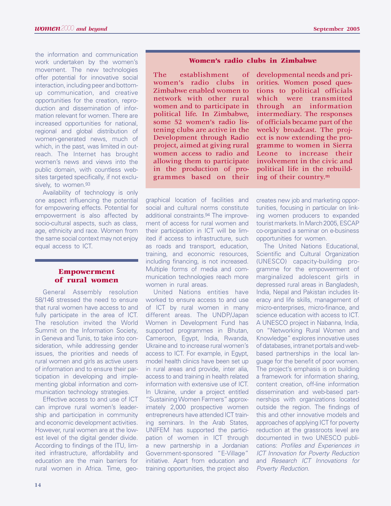the information and communication work undertaken by the women's movement. The new technologies offer potential for innovative social interaction, including peer and bottomup communication, and creative opportunities for the creation, reproduction and dissemination of information relevant for women. There are increased opportunities for national, regional and global distribution of women-generated news, much of which, in the past, was limited in outreach. The Internet has brought women's news and views into the public domain, with countless websites targeted specifically, if not exclusively, to women.93

Availability of technology is only one aspect influencing the potential for empowering effects. Potential for empowerment is also affected by socio-cultural aspects, such as class, age, ethnicity and race. Women from the same social context may not enjoy equal access to ICT.

# **Empowerment of rural women**

General Assembly resolution 58/146 stressed the need to ensure that rural women have access to and fully participate in the area of ICT. The resolution invited the World Summit on the Information Society, in Geneva and Tunis, to take into consideration, while addressing gender issues, the priorities and needs of rural women and girls as active users of information and to ensure their participation in developing and implementing global information and communication technology strategies.

Effective access to and use of ICT can improve rural women's leadership and participation in community and economic development activities. However, rural women are at the lowest level of the digital gender divide. According to findings of the ITU, limited infrastructure, affordability and education are the main barriers for rural women in Africa. Time, geo-

#### **Women's radio clubs in Zimbabwe**

The establishment of women's radio clubs in Zimbabwe enabled women to network with other rural women and to participate in political life. In Zimbabwe, some 52 women's radio listening clubs are active in the Development through Radio project, aimed at giving rural women access to radio and allowing them to participate in the production of programmes based on their developmental needs and priorities. Women posed questions to political officials which were transmitted through an information intermediary. The responses of officials became part of the weekly broadcast. The project is now extending the programme to women in Sierra Leone to increase their involvement in the civic and political life in the rebuilding of their country.m

graphical location of facilities and social and cultural norms constitute additional constraints.94 The improvement of access for rural women and their participation in ICT will be limited if access to infrastructure, such as roads and transport, education, training, and economic resources, including financing, is not increased. Multiple forms of media and communication technologies reach more women in rural areas.

United Nations entities have worked to ensure access to and use of ICT by rural women in many different areas. The UNDP/Japan Women in Development Fund has supported programmes in Bhutan, Cameroon, Egypt, India, Rwanda, Ukraine and to increase rural women's access to ICT. For example, in Egypt, model health clinics have been set up in rural areas and provide, inter alia, access to and training in health related information with extensive use of ICT. In Ukraine, under a project entitled "Sustaining Women Farmers" approximately 2,000 prospective women entrepreneurs have attended ICT training seminars. In the Arab States, UNIFEM has supported the participation of women in ICT through a new partnership in a Jordanian Government-sponsored "E-Village" initiative. Apart from education and training opportunities, the project also

creates new job and marketing opportunities, focusing in particular on linking women producers to expanded tourist markets. In March 2005, ESCAP co-organized a seminar on e-business opportunities for women.

The United Nations Educational, Scientific and Cultural Organization (UNESCO) capacity-building programme for the empowerment of marginalized adolescent girls in depressed rural areas in Bangladesh, India, Nepal and Pakistan includes literacy and life skills, management of micro-enterprises, micro-finance, and science education with access to ICT. A UNESCO project in Nabanna, India, on "Networking Rural Women and Knowledge" explores innovative uses of databases, intranet portals and webbased partnerships in the local language for the benefit of poor women. The project's emphasis is on building a framework for information sharing, content creation, off-line information dissemination and web-based partnerships with organizations located outside the region. The findings of this and other innovative models and approaches of applying ICT for poverty reduction at the grassroots level are documented in two UNESCO publications: Profiles and Experiences in ICT Innovation for Poverty Reduction and Research ICT Innovations for Poverty Reduction.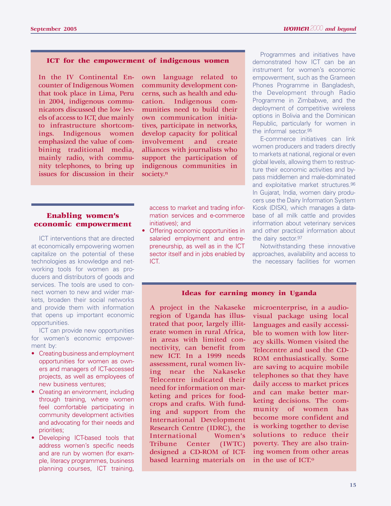#### **ICT for the empowerment of indigenous women**

In the IV Continental Encounter of Indigenous Women that took place in Lima, Peru in 2004, indigenous communicators discussed the low levels of access to ICT, due mainly to infrastructure shortcomings. Indigenous women emphasized the value of combining traditional media, mainly radio, with community telephones, to bring up issues for discussion in their

own language related to community development concerns, such as health and education. Indigenous communities need to build their own communication initiatives, participate in networks, develop capacity for political involvement and create alliances with journalists who support the participation of indigenous communities in society.<sup>n</sup>

# **Enabling women's economic empowerment**

ICT interventions that are directed at economically empowering women capitalize on the potential of these technologies as knowledge and networking tools for women as producers and distributors of goods and services. The tools are used to connect women to new and wider markets, broaden their social networks and provide them with information that opens up important economic opportunities.

ICT can provide new opportunities for women's economic empowerment by:

- Creating business and employment opportunities for women as owners and managers of ICT-accessed projects, as well as employees of new business ventures;
- Creating an environment, including through training, where women feel comfortable participating in community development activities and advocating for their needs and priorities;
- Developing ICT-based tools that address women's specific needs and are run by women (for example, literacy programmes, business planning courses, ICT training,

access to market and trading information services and e-commerce initiatives); and

• Offering economic opportunities in salaried employment and entrepreneurship, as well as in the ICT sector itself and in jobs enabled by ICT.

Programmes and initiatives have demonstrated how ICT can be an instrument for women's economic empowerment, such as the Grameen Phones Programme in Bangladesh, the Development through Radio Programme in Zimbabwe, and the deployment of competitive wireless options in Bolivia and the Dominican Republic, particularly for women in the informal sector.95

E-commerce initiatives can link women producers and traders directly to markets at national, regional or even global levels, allowing them to restructure their economic activities and bypass middlemen and male-dominated and exploitative market structures.96 In Gujarat, India, women dairy producers use the Dairy Information System Kiosk (DISK), which manages a database of all milk cattle and provides information about veterinary services and other practical information about the dairy sector.97

Notwithstanding these innovative approaches, availability and access to the necessary facilities for women

#### **Ideas for earning money in Uganda**

A project in the Nakaseke region of Uganda has illustrated that poor, largely illiterate women in rural Africa, in areas with limited connectivity, can benefit from new ICT. In a 1999 needs assessment, rural women living near the Nakaseke Telecentre indicated their need for information on marketing and prices for foodcrops and crafts. With funding and support from the International Development Research Centre (IDRC), the<br>International Women's **International** Tribune Center (IWTC) designed a CD-ROM of ICTbased learning materials on

microenterprise, in a audiovisual package using local languages and easily accessible to women with low literacy skills. Women visited the Telecentre and used the CD-ROM enthusiastically. Some are saving to acquire mobile telephones so that they have daily access to market prices and can make better marketing decisions. The community of women has become more confident and is working together to devise solutions to reduce their poverty. They are also training women from other areas in the use of ICT.o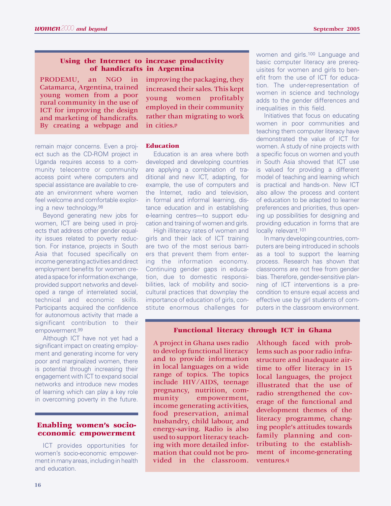# **Using the Internet to increase productivity of handicrafts in Argentina**

PRODEMU, an NGO in Catamarca, Argentina, trained young women from a poor rural community in the use of ICT for improving the design and marketing of handicrafts. By creating a webpage and

remain major concerns. Even a project such as the CD-ROM project in Uganda requires access to a community telecentre or community access point where computers and special assistance are available to create an environment where women feel welcome and comfortable exploring a new technology.98

Beyond generating new jobs for women, ICT are being used in projects that address other gender equality issues related to poverty reduction. For instance, projects in South Asia that focused specifically on income generating activities and direct employment benefits for women created a space for information exchange, provided support networks and developed a range of interrelated social, technical and economic skills. Participants acquired the confidence for autonomous activity that made a significant contribution to their empowerment.99

Although ICT have not yet had a significant impact on creating employment and generating income for very poor and marginalized women, there is potential through increasing their engagement with ICT to expand social networks and introduce new modes of learning which can play a key role in overcoming poverty in the future.

# **Enabling women's socioeconomic empowerment**

ICT provides opportunities for women's socio-economic empowerment in many areas, including in health and education.

improving the packaging, they increased their sales. This kept young women profitably employed in their community rather than migrating to work in cities.p

#### **Education**

Education is an area where both developed and developing countries are applying a combination of traditional and new ICT, adapting, for example, the use of computers and the Internet, radio and television, in formal and informal learning, distance education and in establishing e-learning centres—to support education and training of women and girls.

High illiteracy rates of women and girls and their lack of ICT training are two of the most serious barriers that prevent them from entering the information economy. Continuing gender gaps in education, due to domestic responsibilities, lack of mobility and sociocultural practices that downplay the importance of education of girls, constitute enormous challenges for

women and girls.100 Language and basic computer literacy are prerequisites for women and girls to benefit from the use of ICT for education. The under-representation of women in science and technology adds to the gender differences and inequalities in this field.

Initiatives that focus on educating women in poor communities and teaching them computer literacy have demonstrated the value of ICT for women. A study of nine projects with a specific focus on women and youth in South Asia showed that ICT use is valued for providing a different model of teaching and learning which is practical and hands-on. New ICT also allow the process and content of education to be adapted to learner preferences and priorities, thus opening up possibilities for designing and providing education in forms that are locally relevant.101

In many developing countries, computers are being introduced in schools as a tool to support the learning process. Research has shown that classrooms are not free from gender bias. Therefore, gender-sensitive planning of ICT interventions is a precondition to ensure equal access and effective use by girl students of computers in the classroom environment.

# **Functional literacy through ICT in Ghana**

A project in Ghana uses radio to develop functional literacy and to provide information in local languages on a wide range of topics. The topics include HIV/AIDS, teenage pregnancy, nutrition, community empowerment, income generating activities, food preservation, animal husbandry, child labour, and energy-saving. Radio is also used to support literacy teaching with more detailed information that could not be provided in the classroom.

Although faced with problems such as poor radio infrastructure and inadequate airtime to offer literacy in 15 local languages, the project illustrated that the use of radio strengthened the coverage of the functional and development themes of the literacy programme, changing people's attitudes towards family planning and contributing to the establishment of income-generating ventures.q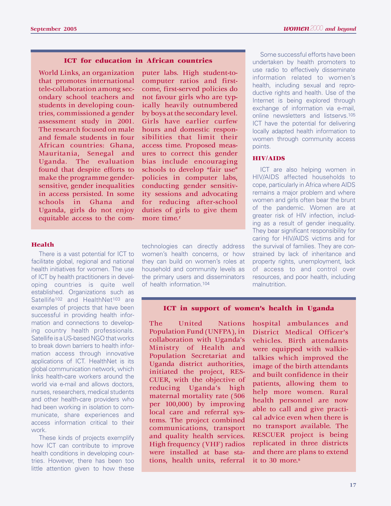# **ICT for education in African countries**

World Links, an organization that promotes international tele-collaboration among secondary school teachers and students in developing countries, commissioned a gender assessment study in 2001. The research focused on male and female students in four African countries: Ghana, Mauritania, Senegal and Uganda. The evaluation found that despite efforts to make the programme gendersensitive, gender inequalities in access persisted. In some schools in Ghana and Uganda, girls do not enjoy equitable access to the com-

#### **Health**

There is a vast potential for ICT to facilitate global, regional and national health initiatives for women. The use of ICT by health practitioners in developing countries is quite well established. Organizations such as Satellife<sup>102</sup> and HealthNet<sup>103</sup> are examples of projects that have been successful in providing health information and connections to developing country health professionals. Satellife is a US-based NGO that works to break down barriers to health information access through innovative applications of ICT. HealthNet is its global communication network, which links health-care workers around the world via e-mail and allows doctors, nurses, researchers, medical students and other health-care providers who had been working in isolation to communicate, share experiences and access information critical to their work.

These kinds of projects exemplify how ICT can contribute to improve health conditions in developing countries. However, there has been too little attention given to how these

puter labs. High student-tocomputer ratios and firstcome, first-served policies do not favour girls who are typically heavily outnumbered by boys at the secondary level. Girls have earlier curfew hours and domestic responsibilities that limit their access time. Proposed measures to correct this gender bias include encouraging schools to develop "fair use" policies in computer labs, conducting gender sensitivity sessions and advocating for reducing after-school duties of girls to give them more time.<sup>r</sup>

technologies can directly address women's health concerns, or how they can build on women's roles at household and community levels as the primary users and disseminators of health information 104

Some successful efforts have been undertaken by health promoters to use radio to effectively disseminate information related to women's health, including sexual and reproductive rights and health. Use of the Internet is being explored through exchange of information via e-mail, online newsletters and listservs.<sup>105</sup> ICT have the potential for delivering locally adapted health information to women through community access points.

#### **HIV/AIDS**

ICT are also helping women in HIV/AIDS affected households to cope, particularly in Africa where AIDS remains a major problem and where women and girls often bear the brunt of the pandemic. Women are at greater risk of HIV infection, including as a result of gender inequality. They bear significant responsibility for caring for HIV/AIDS victims and for the survival of families. They are constrained by lack of inheritance and property rights, unemployment, lack of access to and control over resources, and poor health, including malnutrition.

# **ICT in support of women's health in Uganda**

The United Nations Population Fund (UNFPA), in collaboration with Uganda's Ministry of Health and Population Secretariat and Uganda district authorities, initiated the project, RES-CUER, with the objective of reducing Uganda's high maternal mortality rate (506 per 100,000) by improving local care and referral systems. The project combined communications, transport and quality health services. High frequency (VHF) radios were installed at base stations, health units, referral

hospital ambulances and District Medical Officer's vehicles. Birth attendants were equipped with walkietalkies which improved the image of the birth attendants and built confidence in their patients, allowing them to help more women. Rural health personnel are now able to call and give practical advice even when there is no transport available. The RESCUER project is being replicated in three districts and there are plans to extend it to 30 more.s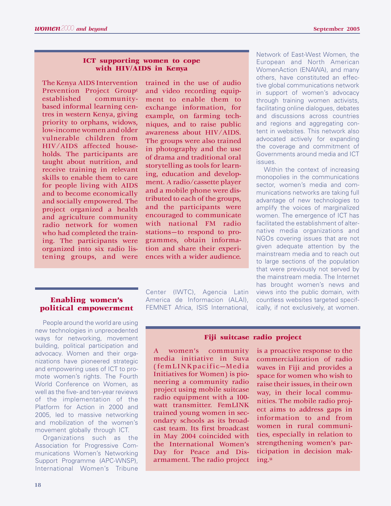# **ICT supporting women to cope with HIV/AIDS in Kenya**

The Kenya AIDS Intervention Prevention Project Groupt established communitybased informal learning centres in western Kenya, giving priority to orphans, widows, low-income women and older vulnerable children from HIV/AIDS affected households. The participants are taught about nutrition, and receive training in relevant skills to enable them to care for people living with AIDS and to become economically and socially empowered. The project organized a health and agriculture community radio network for women who had completed the training. The participants were organized into six radio listening groups, and were

trained in the use of audio and video recording equipment to enable them to exchange information, for example, on farming techniques, and to raise public awareness about HIV/AIDS. The groups were also trained in photography and the use of drama and traditional oral storytelling as tools for learning, education and development. A radio/cassette player and a mobile phone were distributed to each of the groups, and the participants were encouraged to communicate with national FM radio stations—to respond to programmes, obtain information and share their experiences with a wider audience.

#### Network of East-West Women, the European and North American WomenAction (ENAWA), and many others, have constituted an effective global communications network in support of women's advocacy through training women activists, facilitating online dialogues, debates and discussions across countries and regions and aggregating content in websites. This network also advocated actively for expanding the coverage and commitment of Governments around media and ICT issues.

Within the context of increasing monopolies in the communications sector, women's media and communications networks are taking full advantage of new technologies to amplify the voices of marginalized women. The emergence of ICT has facilitated the establishment of alternative media organizations and NGOs covering issues that are not given adequate attention by the mainstream media and to reach out to large sections of the population that were previously not served by the mainstream media. The Internet has brought women's news and views into the public domain, with countless websites targeted specifically, if not exclusively, at women.

# **Enabling women's political empowerment**

People around the world are using new technologies in unprecedented ways for networking, movement building, political participation and advocacy. Women and their organizations have pioneered strategic and empowering uses of ICT to promote women's rights. The Fourth World Conference on Women, as well as the five- and ten-year reviews of the implementation of the Platform for Action in 2000 and 2005, led to massive networking and mobilization of the women's movement globally through ICT.

Organizations such as the Association for Progressive Communications Women's Networking Support Programme (APC-WNSP), International Women's Tribune Center (IWTC), Agencia Latin America de Informacion (ALAI), FEMNET Africa, ISIS International,

# **Fiji suitcase radio project**

A women's community media initiative in Suva (femLINKpacific—Media Initiatives for Women) is pioneering a community radio project using mobile suitcase radio equipment with a 100 watt transmitter. FemLINK trained young women in secondary schools as its broadcast team. Its first broadcast in May 2004 coincided with the International Women's Day for Peace and Disarmament. The radio project is a proactive response to the commercialization of radio waves in Fiji and provides a space for women who wish to raise their issues, in their own way, in their local communities. The mobile radio project aims to address gaps in information to and from women in rural communities, especially in relation to strengthening women's participation in decision making.u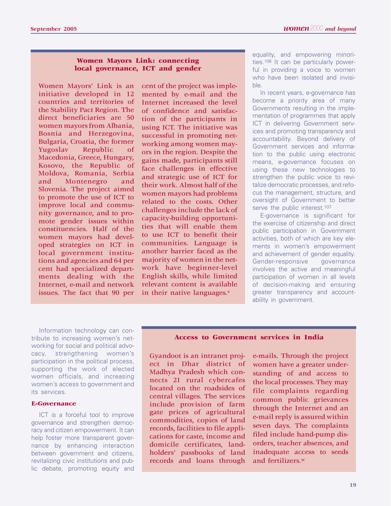# **Women Mayors Link: connecting local governance, ICT and gender**

Women Mayors' Link is an initiative developed in 12 countries and territories of the Stability Pact Region. The direct beneficiaries are 50 women mayors from Albania, Bosnia and Herzegovina, Bulgaria, Croatia, the former Yugoslav Republic of Macedonia, Greece, Hungary, Kosovo, the Republic of Moldova, Romania, Serbia and Montenegro and Slovenia. The project aimed to promote the use of ICT to improve local and community governance, and to promote gender issues within constituencies. Half of the women mayors had developed strategies on ICT in local government institutions and agencies and 64 per cent had specialized departments dealing with the Internet, e-mail and network issues. The fact that 90 per cent of the project was implemented by e-mail and the Internet increased the level of confidence and satisfaction of the participants in using ICT. The initiative was successful in promoting networking among women mayors in the region. Despite the gains made, participants still face challenges in effective and strategic use of ICT for their work. Almost half of the women mayors had problems related to the costs. Other challenges include the lack of capacity-building opportunities that will enable them to use ICT to benefit their communities. Language is another barrier faced as the majority of women in the network have beginner-level English skills, while limited relevant content is available in their native languages. $v$ 

equality, and empowering minorities.106 It can be particularly powerful in providing a voice to women who have been isolated and invisible.

In recent years, e-governance has become a priority area of many Governments resulting in the implementation of programmes that apply ICT in delivering Government services and promoting transparency and accountability. Beyond delivery of Government services and information to the public using electronic means, e-governance focuses on using these new technologies to strengthen the public voice to revitalize democratic processes, and refocus the management, structure, and oversight of Government to better serve the public interest.<sup>107</sup>

E-governance is significant for the exercise of citizenship and direct public participation in Government activities, both of which are key elements in women's empowerment and achievement of gender equality. Gender-responsive governance involves the active and meaningful participation of women in all levels of decision-making and ensuring greater transparency and accountability in government.

Information technology can contribute to increasing women's networking for social and political advocacy, strengthening women's participation in the political process, supporting the work of elected women officials, and increasing women's access to government and its services.

# **E-Governance**

ICT is a forceful tool to improve governance and strengthen democracy and citizen empowerment. It can help foster more transparent governance by enhancing interaction between government and citizens, revitalizing civic institutions and public debate, promoting equity and

#### **Access to Government services in India**

Gyandoot is an intranet project in Dhar district of Madhya Pradesh which connects 21 rural cybercafes located on the roadsides of central villages. The services include provision of farm gate prices of agricultural commodities, copies of land records, facilities to file applications for caste, income and domicile certificates, landholders' passbooks of land records and loans through

e-mails. Through the project women have a greater understanding of and access to the local processes. They may file complaints regarding common public grievances through the Internet and an e-mail reply is assured within seven days. The complaints filed include hand-pump disorders, teacher absences, and inadequate access to seeds and fertilizers.w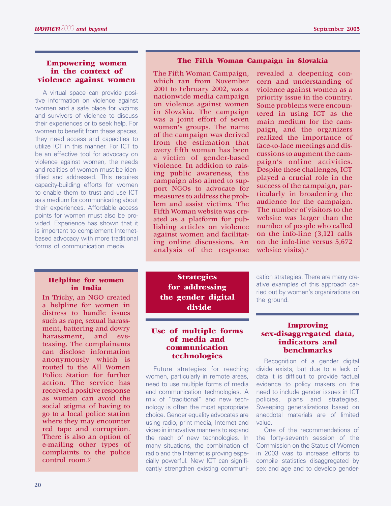# **Empowering women in the context of violence against women**

A virtual space can provide positive information on violence against women and a safe place for victims and survivors of violence to discuss their experiences or to seek help. For women to benefit from these spaces, they need access and capacities to utilize ICT in this manner. For ICT to be an effective tool for advocacy on violence against women, the needs and realities of women must be identified and addressed. This requires capacity-building efforts for women to enable them to trust and use ICT as a medium for communicating about their experiences. Affordable access points for women must also be provided. Experience has shown that it is important to complement Internetbased advocacy with more traditional forms of communication media.

#### **Helpline for women in India**

In Trichy, an NGO created a helpline for women in distress to handle issues such as rape, sexual harassment, battering and dowry harassment, and eveteasing. The complainants can disclose information anonymously which is routed to the All Women Police Station for further action. The service has received a positive response as women can avoid the social stigma of having to go to a local police station where they may encounter red tape and corruption. There is also an option of e-mailing other types of complaints to the police control room.y

#### **The Fifth Woman Campaign in Slovakia**

The Fifth Woman Campaign, which ran from November 2001 to February 2002, was a nationwide media campaign on violence against women in Slovakia. The campaign was a joint effort of seven women's groups. The name of the campaign was derived from the estimation that every fifth woman has been a victim of gender-based violence. In addition to raising public awareness, the campaign also aimed to support NGOs to advocate for measures to address the problem and assist victims. The Fifth Woman website was created as a platform for publishing articles on violence against women and facilitating online discussions. An analysis of the response revealed a deepening concern and understanding of violence against women as a priority issue in the country. Some problems were encountered in using ICT as the main medium for the campaign, and the organizers realized the importance of face-to-face meetings and discussions to augment the campaign's online activities. Despite these challenges, ICT played a crucial role in the success of the campaign, particularly in broadening the audience for the campaign. The number of visitors to the website was larger than the number of people who called on the info-line (3,121 calls on the info-line versus 5,672 website visits).x

**Strategies for addressing the gender digital divide**

# **Use of multiple forms of media and communication technologies**

Future strategies for reaching women, particularly in remote areas, need to use multiple forms of media and communication technologies. A mix of "traditional" and new technology is often the most appropriate choice. Gender equality advocates are using radio, print media, Internet and video in innovative manners to expand the reach of new technologies. In many situations, the combination of radio and the Internet is proving especially powerful. New ICT can significantly strengthen existing communi-

cation strategies. There are many creative examples of this approach carried out by women's organizations on the ground.

# **Improving sex-disaggregated data, indicators and benchmarks**

Recognition of a gender digital divide exists, but due to a lack of data it is difficult to provide factual evidence to policy makers on the need to include gender issues in ICT policies, plans and strategies. Sweeping generalizations based on anecdotal materials are of limited value.

One of the recommendations of the forty-seventh session of the Commission on the Status of Women in 2003 was to increase efforts to compile statistics disaggregated by sex and age and to develop gender-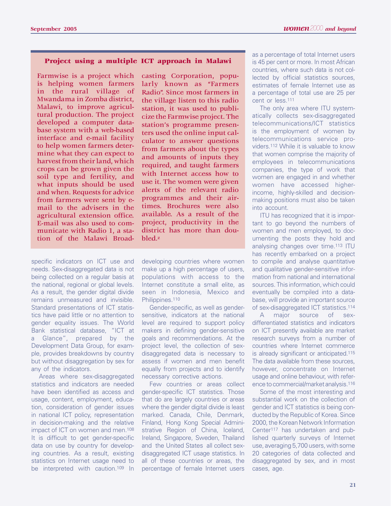#### **Project using a multiple ICT approach in Malawi**

Farmwise is a project which is helping women farmers in the rural village of Mwandama in Zomba district, Malawi, to improve agricultural production. The project developed a computer database system with a web-based interface and e-mail facility to help women farmers determine what they can expect to harvest from their land, which crops can be grown given the soil type and fertility, and what inputs should be used and when. Requests for advice from farmers were sent by email to the advisers in the agricultural extension office. E-mail was also used to communicate with Radio 1, a station of the Malawi Broad-

specific indicators on ICT use and needs. Sex-disaggregated data is not being collected on a regular basis at the national, regional or global levels. As a result, the gender digital divide remains unmeasured and invisible. Standard presentations of ICT statistics have paid little or no attention to gender equality issues. The World Bank statistical database, "ICT at a Glance", prepared by the Development Data Group, for example, provides breakdowns by country but without disaggregation by sex for any of the indicators.

Areas where sex-disaggregated statistics and indicators are needed have been identified as access and usage, content, employment, education, consideration of gender issues in national ICT policy, representation in decision-making and the relative impact of ICT on women and men.108 It is difficult to get gender-specific data on use by country for developing countries. As a result, existing statistics on Internet usage need to be interpreted with caution.109 In

casting Corporation, popularly known as "Farmers Radio". Since most farmers in the village listen to this radio station, it was used to publicize the Farmwise project. The station's programme presenters used the online input calculator to answer questions from farmers about the types and amounts of inputs they required, and taught farmers with Internet access how to use it. The women were given alerts of the relevant radio programmes and their airtimes. Brochures were also available. As a result of the project, productivity in the district has more than doubled.z

developing countries where women make up a high percentage of users, populations with access to the Internet constitute a small elite, as seen in Indonesia, Mexico and Philippines.<sup>110</sup>

Gender-specific, as well as gendersensitive, indicators at the national level are required to support policy makers in defining gender-sensitive goals and recommendations. At the project level, the collection of sexdisaggregated data is necessary to assess if women and men benefit equally from projects and to identify necessary corrective actions.

Few countries or areas collect gender-specific ICT statistics. Those that do are largely countries or areas where the gender digital divide is least marked. Canada, Chile, Denmark, Finland, Hong Kong Special Administrative Region of China, Iceland, Ireland, Singapore, Sweden, Thailand and the United States all collect sexdisaggregated ICT usage statistics. In all of these countries or areas, the percentage of female Internet users as a percentage of total Internet users is 45 per cent or more. In most African countries, where such data is not collected by official statistics sources, estimates of female Internet use as a percentage of total use are 25 per cent or less.111

The only area where ITU systematically collects sex-disaggregated telecommunications/ICT statistics is the employment of women by telecommunications service providers.112 While it is valuable to know that women comprise the majority of employees in telecommunications companies, the type of work that women are engaged in and whether women have accessed higherincome, highly-skilled and decisionmaking positions must also be taken into account.

ITU has recognized that it is important to go beyond the numbers of women and men employed, to documenting the posts they hold and analysing changes over time.113 ITU has recently embarked on a project to compile and analyse quantitative and qualitative gender-sensitive information from national and international sources. This information, which could eventually be compiled into a database, will provide an important source of sex-disaggregated ICT statistics.114

A major source of sexdifferentiated statistics and indicators on ICT presently available are market research surveys from a number of countries where Internet commerce is already significant or anticipated.115 The data available from these sources, however, concentrate on Internet usage and online behaviour, with reference to commercial/market analysis.116

Some of the most interesting and substantial work on the collection of gender and ICT statistics is being conducted by the Republic of Korea. Since 2000, the Korean Network Information Center117 has undertaken and published quarterly surveys of Internet use, averaging 5,700 users, with some 20 categories of data collected and disaggregated by sex, and in most cases, age.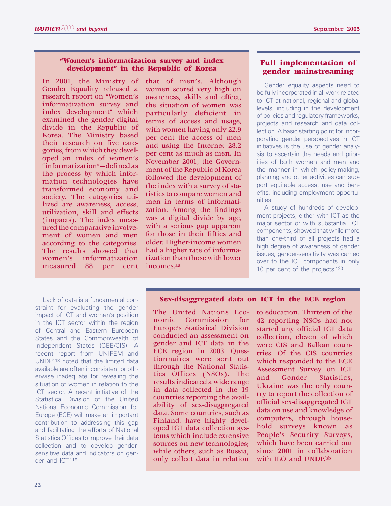## **"Women's informatization survey and index development" in the Republic of Korea**

In 2001, the Ministry of Gender Equality released a research report on "Women's informatization survey and index development" which examined the gender digital divide in the Republic of Korea. The Ministry based their research on five categories, from which they developed an index of women's "informatization"—defined as the process by which information technologies have transformed economy and society. The categories utilized are awareness, access, utilization, skill and effects (impacts). The index measured the comparative involvement of women and men according to the categories. The results showed that women's informatization measured 88 per cent

Lack of data is a fundamental constraint for evaluating the gender impact of ICT and women's position in the ICT sector within the region of Central and Eastern European States and the Commonwealth of Independent States (CEE/CIS). A recent report from UNIFEM and UNDP118 noted that the limited data available are often inconsistent or otherwise inadequate for revealing the situation of women in relation to the ICT sector. A recent initiative of the Statistical Division of the United Nations Economic Commission for Europe (ECE) will make an important contribution to addressing this gap and facilitating the efforts of National Statistics Offices to improve their data collection and to develop gendersensitive data and indicators on gender and ICT.119

that of men's. Although women scored very high on awareness, skills and effect, the situation of women was particularly deficient in terms of access and usage, with women having only 22.9 per cent the access of men and using the Internet 28.2 per cent as much as men. In November 2001, the Government of the Republic of Korea followed the development of the index with a survey of statistics to compare women and men in terms of informatization. Among the findings was a digital divide by age, with a serious gap apparent for those in their fifties and older. Higher-income women had a higher rate of informatization than those with lower incomes.aa

# **Full implementation of gender mainstreaming**

Gender equality aspects need to be fully incorporated in all work related to ICT at national, regional and global levels, including in the development of policies and regulatory frameworks, projects and research and data collection. A basic starting point for incorporating gender perspectives in ICT initiatives is the use of gender analysis to ascertain the needs and priorities of both women and men and the manner in which policy-making, planning and other activities can support equitable access, use and benefits, including employment opportunities.

A study of hundreds of development projects, either with ICT as the major sector or with substantial ICT components, showed that while more than one-third of all projects had a high degree of awareness of gender issues, gender-sensitivity was carried over to the ICT components in only 10 per cent of the projects.<sup>120</sup>

#### **Sex-disaggregated data on ICT in the ECE region**

The United Nations Economic Commission for Europe's Statistical Division conducted an assessment on gender and ICT data in the ECE region in 2003. Questionnaires were sent out through the National Statistics Offices (NSOs). The results indicated a wide range in data collected in the 19 countries reporting the availability of sex-disaggregated data. Some countries, such as Finland, have highly developed ICT data collection systems which include extensive sources on new technologies; while others, such as Russia, only collect data in relation

to education. Thirteen of the 42 reporting NSOs had not started any official ICT data collection, eleven of which were CIS and Balkan countries. Of the CIS countries which responded to the ECE Assessment Survey on ICT and Gender Statistics, Ukraine was the only country to report the collection of official sex-disaggregated ICT data on use and knowledge of computers, through household surveys known as People's Security Surveys, which have been carried out since 2001 in collaboration with ILO and UNDP.bb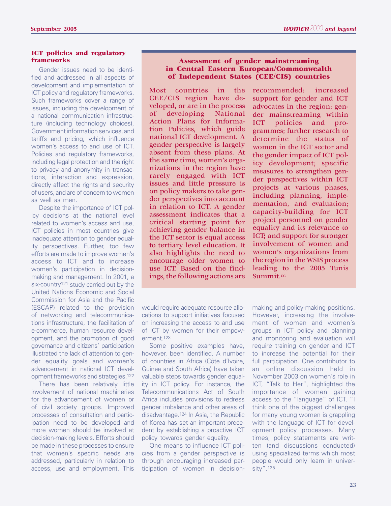#### **ICT policies and regulatory frameworks**

Gender issues need to be identified and addressed in all aspects of development and implementation of ICT policy and regulatory frameworks. Such frameworks cover a range of issues, including the development of a national communication infrastructure (including technology choices), Government information services, and tariffs and pricing, which influence women's access to and use of ICT. Policies and regulatory frameworks, including legal protection and the right to privacy and anonymity in transactions, interaction and expression, directly affect the rights and security of users, and are of concern to women as well as men.

Despite the importance of ICT policy decisions at the national level related to women's access and use, ICT policies in most countries give inadequate attention to gender equality perspectives. Further, too few efforts are made to improve women's access to ICT and to increase women's participation in decisionmaking and management. In 2001, a six-country<sup>121</sup> study carried out by the United Nations Economic and Social Commission for Asia and the Pacific (ESCAP) related to the provision of networking and telecommunications infrastructure, the facilitation of e-commerce, human resource development, and the promotion of good governance and citizens' participation illustrated the lack of attention to gender equality goals and women's advancement in national ICT development frameworks and strategies.122

There has been relatively little involvement of national machineries for the advancement of women or of civil society groups. Improved processes of consultation and participation need to be developed and more women should be involved at decision-making levels. Efforts should be made in these processes to ensure that women's specific needs are addressed, particularly in relation to access, use and employment. This

#### **Assessment of gender mainstreaming in Central Eastern European/Commonwealth of Independent States (CEE/CIS) countries**

Most countries in the CEE/CIS region have developed, or are in the process of developing National Action Plans for Information Policies, which guide national ICT development. A gender perspective is largely absent from these plans. At the same time, women's organizations in the region have rarely engaged with ICT issues and little pressure is on policy makers to take gender perspectives into account in relation to ICT. A gender assessment indicates that a critical starting point for achieving gender balance in the ICT sector is equal access to tertiary level education. It also highlights the need to encourage older women to use ICT. Based on the findings, the following actions are

recommended: increased support for gender and ICT advocates in the region; gender mainstreaming within ICT policies and programmes; further research to determine the status of women in the ICT sector and the gender impact of ICT policy development; specific measures to strengthen gender perspectives within ICT projects at various phases, including planning, implementation, and evaluation; capacity-building for ICT project personnel on gender equality and its relevance to ICT; and support for stronger involvement of women and women's organizations from the region in the WSIS process leading to the 2005 Tunis Summit.cc

would require adequate resource allocations to support initiatives focused on increasing the access to and use of ICT by women for their empowerment.123

Some positive examples have, however, been identified. A number of countries in Africa (Côte d'Ivoire, Guinea and South Africa) have taken valuable steps towards gender equality in ICT policy. For instance, the Telecommunications Act of South Africa includes provisions to redress gender imbalance and other areas of disadvantage.124 In Asia, the Republic of Korea has set an important precedent by establishing a proactive ICT policy towards gender equality.

One means to influence ICT policies from a gender perspective is through encouraging increased participation of women in decision-

making and policy-making positions. However, increasing the involvement of women and women's groups in ICT policy and planning and monitoring and evaluation will require training on gender and ICT to increase the potential for their full participation. One contributor to an online discussion held in November 2003 on women's role in ICT, "Talk to Her", highlighted the importance of women gaining access to the "language" of ICT. "I think one of the biggest challenges for many young women is grappling with the language of ICT for development policy processes. Many times, policy statements are written (and discussions conducted) using specialized terms which most people would only learn in university".125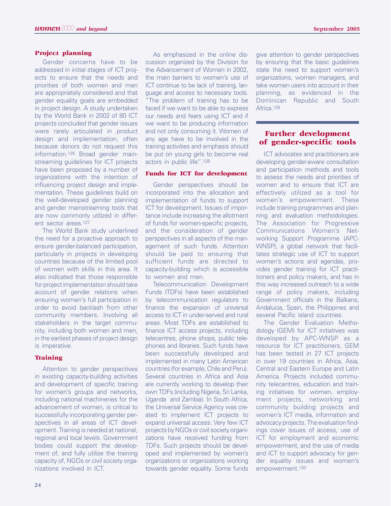#### **Project planning**

Gender concerns have to be addressed in initial stages of ICT projects to ensure that the needs and priorities of both women and men are appropriately considered and that gender equality goals are embedded in project design. A study undertaken by the World Bank in 2002 of 80 ICT projects concluded that gender issues were rarely articulated in product design and implementation, often because donors do not request this information.126 Broad gender mainstreaming guidelines for ICT projects have been proposed by a number of organizations with the intention of influencing project design and implementation. These guidelines build on the well-developed gender planning and gender mainstreaming tools that are now commonly utilized in different sector areas.127

The World Bank study underlined the need for a proactive approach to ensure gender-balanced participation, particularly in projects in developing countries because of the limited pool of women with skills in this area. It also indicated that those responsible for project implementation should take account of gender relations when ensuring women's full participation in order to avoid backlash from other community members. Involving all stakeholders in the target community, including both women and men, in the earliest phases of project design is imperative.

#### **Training**

Attention to gender perspectives in existing capacity-building activities and development of specific training for women's groups and networks, including national machineries for the advancement of women, is critical to successfully incorporating gender perspectives in all areas of ICT development. Training is needed at national, regional and local levels. Government bodies could support the development of, and fully utilize the training capacity of, NGOs or civil society organizations involved in ICT.

As emphasized in the online discussion organized by the Division for the Advancement of Women in 2002, the main barriers to women's use of ICT continue to be lack of training, language and access to necessary tools. "The problem of training has to be faced if we want to be able to express our needs and fears using ICT and if we want to be producing information and not only consuming it. Women of any age have to be involved in the training activities and emphasis should be put on young girls to become real actors in public life".128

#### **Funds for ICT for development**

Gender perspectives should be incorporated into the allocation and implementation of funds to support ICT for development. Issues of importance include increasing the allotment of funds for women-specific projects, and the consideration of gender perspectives in all aspects of the management of such funds. Attention should be paid to ensuring that sufficient funds are directed to capacity-building which is accessible to women and men.

Telecommunication Development Funds (TDFs) have been established by telecommunication regulators to finance the expansion of universal access to ICT in under-served and rural areas. Most TDFs are established to finance ICT access projects, including telecentres, phone shops, public telephones and libraries. Such funds have been successfully developed and implemented in many Latin American countries (for example, Chile and Peru). Several countries in Africa and Asia are currently working to develop their own TDFs (including Nigeria, Sri Lanka, Uganda and Zambia). In South Africa, the Universal Service Agency was created to implement ICT projects to expand universal access. Very few ICT projects by NGOs or civil society organizations have received funding from TDFs. Such projects should be developed and implemented by women's organizations or organizations working towards gender equality. Some funds give attention to gender perspectives by ensuring that the basic guidelines state the need to support women's organizations, women managers, and take women users into account in their planning, as evidenced in the Dominican Republic and South Africa.<sup>129</sup>

# **Further development of gender-specific tools**

ICT advocates and practitioners are developing gender-aware consultation and participation methods and tools to assess the needs and priorities of women and to ensure that ICT are effectively utilized as a tool for women's empowerment. These include training programmes and planning and evaluation methodologies. The Association for Progressive Communications Women's Networking Support Programme (APC-WNSP), a global network that facilitates strategic use of ICT to support women's actions and agendas, provides gender training for ICT practitioners and policy makers, and has in this way increased outreach to a wide range of policy makers, including Government officials in the Balkans, Andalucia, Spain, the Philippines and several Pacific island countries.

The Gender Evaluation Methodology (GEM) for ICT initiatives was developed by APC-WNSP as a resource for ICT practitioners. GEM has been tested in 27 ICT projects in over 19 countries in Africa, Asia, Central and Eastern Europe and Latin America. Projects included community telecentres, education and training initiatives for women, employment projects, networking and community building projects and women's ICT media, information and advocacy projects. The evaluation findings cover issues of access, use of ICT for employment and economic empowerment, and the use of media and ICT to support advocacy for gender equality issues and women's empowerment.130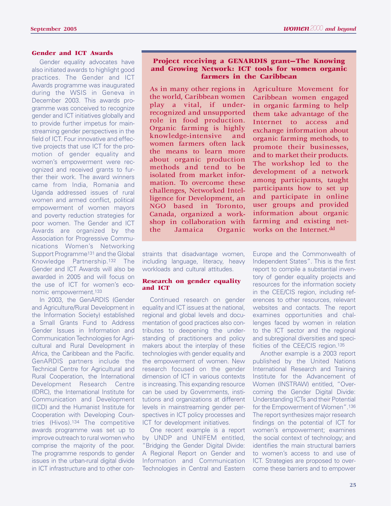# **Gender and ICT Awards**

Gender equality advocates have also initiated awards to highlight good practices. The Gender and ICT Awards programme was inaugurated during the WSIS in Geneva in December 2003. This awards programme was conceived to recognize gender and ICT initiatives globally and to provide further impetus for mainstreaming gender perspectives in the field of ICT. Four innovative and effective projects that use ICT for the promotion of gender equality and women's empowerment were recognized and received grants to further their work. The award winners came from India, Romania and Uganda addressed issues of rural women and armed conflict, political empowerment of women mayors and poverty reduction strategies for poor women. The Gender and ICT Awards are organized by the Association for Progressive Communications Women's Networking Support Programme131 and the Global Knowledge Partnership.132 The Gender and ICT Awards will also be awarded in 2005 and will focus on the use of ICT for women's economic empowerment.133

In 2003, the GenARDIS (Gender and Agriculture/Rural Development in the Information Society) established a Small Grants Fund to Address Gender Issues in Information and Communication Technologies for Agricultural and Rural Development in Africa, the Caribbean and the Pacific. GenARDIS partners include the Technical Centre for Agricultural and Rural Cooperation, the International Development Research Centre (IDRC), the International Institute for Communication and Development (IICD) and the Humanist Institute for Cooperation with Developing Countries (Hivos).134 The competitive awards programme was set up to improve outreach to rural women who comprise the majority of the poor. The programme responds to gender issues in the urban-rural digital divide in ICT infrastructure and to other con-

# **Project receiving a GENARDIS grant—The Knowing and Growing Network: ICT tools for women organic farmers in the Caribbean**

As in many other regions in the world, Caribbean women play a vital, if underrecognized and unsupported role in food production. Organic farming is highly knowledge-intensive and women farmers often lack the means to learn more about organic production methods and tend to be isolated from market information. To overcome these challenges, Networked Intelligence for Development, an NGO based in Toronto, Canada, organized a workshop in collaboration with the Jamaica Organic

straints that disadvantage women, including language, literacy, heavy workloads and cultural attitudes.

#### **Research on gender equality and ICT**

Continued research on gender equality and ICT issues at the national, regional and global levels and documentation of good practices also contributes to deepening the understanding of practitioners and policy makers about the interplay of these technologies with gender equality and the empowerment of women. New research focused on the gender dimension of ICT in various contexts is increasing. This expanding resource can be used by Governments, institutions and organizations at different levels in mainstreaming gender perspectives in ICT policy processes and ICT for development initiatives.

One recent example is a report by UNDP and UNIFEM entitled, "Bridging the Gender Digital Divide: A Regional Report on Gender and Information and Communication Technologies in Central and Eastern Agriculture Movement for Caribbean women engaged in organic farming to help them take advantage of the Internet to access and exchange information about organic farming methods, to promote their businesses, and to market their products. The workshop led to the development of a network among participants, taught participants how to set up and participate in online user groups and provided information about organic farming and existing networks on the Internet.dd

Europe and the Commonwealth of Independent States". This is the first report to compile a substantial inventory of gender equality projects and resources for the information society in the CEE/CIS region, including references to other resources, relevant websites and contacts. The report examines opportunities and challenges faced by women in relation to the ICT sector and the regional and subregional diversities and specificities of the CEE/CIS region.135

Another example is a 2003 report published by the United Nations International Research and Training Institute for the Advancement of Women (INSTRAW) entitled, "Overcoming the Gender Digital Divide: Understanding ICTs and their Potential for the Empowerment of Women".136 The report synthesizes major research findings on the potential of ICT for women's empowerment; examines the social context of technology; and identifies the main structural barriers to women's access to and use of ICT. Strategies are proposed to overcome these barriers and to empower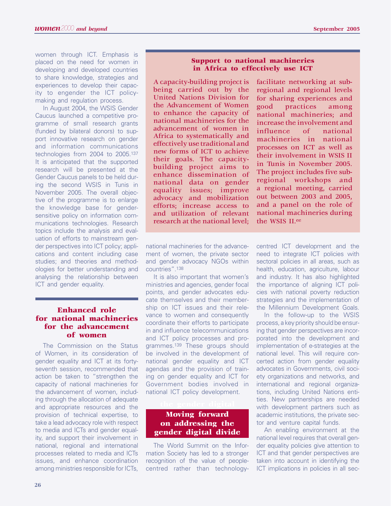women through ICT. Emphasis is placed on the need for women in developing and developed countries to share knowledge, strategies and experiences to develop their capacity to engender the ICT policymaking and regulation process.

In August 2004, the WSIS Gender Caucus launched a competitive programme of small research grants (funded by bilateral donors) to support innovative research on gender and information communications technologies from 2004 to 2005.137 It is anticipated that the supported research will be presented at the Gender Caucus panels to be held during the second WSIS in Tunis in November 2005. The overall objective of the programme is to enlarge the knowledge base for gendersensitive policy on information communications technologies. Research topics include the analysis and evaluation of efforts to mainstream gender perspectives into ICT policy; applications and content including case studies; and theories and methodologies for better understanding and analysing the relationship between ICT and gender equality.

# **Enhanced role for national machineries for the advancement of women**

The Commission on the Status of Women, in its consideration of gender equality and ICT at its fortyseventh session, recommended that action be taken to "strengthen the capacity of national machineries for the advancement of women, including through the allocation of adequate and appropriate resources and the provision of technical expertise, to take a lead advocacy role with respect to media and ICTs and gender equality, and support their involvement in national, regional and international processes related to media and ICTs issues, and enhance coordination among ministries responsible for ICTs,

A capacity-building project is being carried out by the United Nations Division for the Advancement of Women to enhance the capacity of national machineries for the advancement of women in Africa to systematically and effectively use traditional and new forms of ICT to achieve their goals. The capacitybuilding project aims to enhance dissemination of national data on gender equality issues; improve advocacy and mobilization efforts; increase access to and utilization of relevant research at the national level;

facilitate networking at subregional and regional levels for sharing experiences and good practices among national machineries; and increase the involvement and influence of national machineries in national processes on ICT as well as their involvement in WSIS II in Tunis in November 2005. The project includes five subregional workshops and a regional meeting, carried out between 2003 and 2005, and a panel on the role of national machineries during the WSIS II.ee

national machineries for the advancement of women, the private sector and gender advocacy NGOs within countries".138

It is also important that women's ministries and agencies, gender focal points, and gender advocates educate themselves and their membership on ICT issues and their relevance to women and consequently coordinate their efforts to participate in and influence telecommunications and ICT policy processes and programmes.139 These groups should be involved in the development of national gender equality and ICT agendas and the provision of training on gender equality and ICT for Government bodies involved in national ICT policy development.

# **Moving forward on addressing the gender digital divide**

The World Summit on the Information Society has led to a stronger recognition of the value of peoplecentred rather than technology-

centred ICT development and the need to integrate ICT policies with sectoral policies in all areas, such as health, education, agriculture, labour and industry. It has also highlighted the importance of aligning ICT policies with national poverty reduction strategies and the implementation of the Millennium Development Goals.

In the follow-up to the WSIS process, a key priority should be ensuring that gender perspectives are incorporated into the development and implementation of e-strategies at the national level. This will require concerted action from gender equality advocates in Governments, civil society organizations and networks, and international and regional organizations, including United Nations entities. New partnerships are needed with development partners such as academic institutions, the private sector and venture capital funds.

An enabling environment at the national level requires that overall gender equality policies give attention to ICT and that gender perspectives are taken into account in identifying the ICT implications in policies in all sec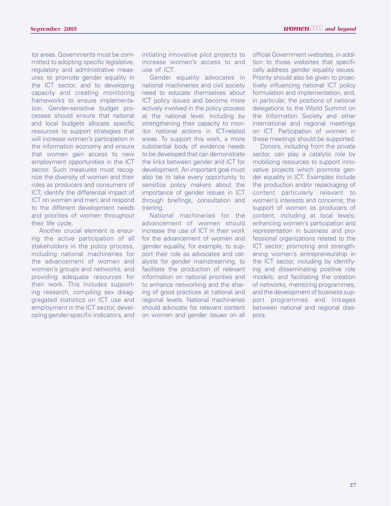tor areas. Governments must be committed to adopting specific legislative, regulatory and administrative measures to promote gender equality in the ICT sector, and to developing capacity and creating monitoring frameworks to ensure implementation. Gender-sensitive budget processes should ensure that national and local budgets allocate specific resources to support strategies that will increase women's participation in the information economy and ensure that women gain access to new employment opportunities in the ICT sector. Such measures must recognize the diversity of women and their roles as producers and consumers of ICT; identify the differential impact of ICT on women and men; and respond to the different development needs and priorities of women throughout their life cycle.

Another crucial element is ensuring the active participation of all stakeholders in the policy process, including national machineries for the advancement of women and women's groups and networks, and providing adequate resources for their work. This includes supporting research, compiling sex disaggregated statistics on ICT use and employment in the ICT sector, developing gender-specific indicators, and

initiating innovative pilot projects to increase women's access to and use of ICT.

Gender equality advocates in national machineries and civil society need to educate themselves about ICT policy issues and become more actively involved in the policy process at the national level, including by strengthening their capacity to monitor national actions in ICT-related areas. To support this work, a more substantial body of evidence needs to be developed that can demonstrate the links between gender and ICT for development. An important goal must also be to take every opportunity to sensitize policy makers about the importance of gender issues in ICT through briefings, consultation and training.

National machineries for the advancement of women should increase the use of ICT in their work for the advancement of women and gender equality, for example, to support their role as advocates and catalysts for gender mainstreaming, to facilitate the production of relevant information on national priorities and to enhance networking and the sharing of good practices at national and regional levels. National machineries should advocate for relevant content on women and gender issues on all

official Government websites, in addition to those websites that specifically address gender equality issues. Priority should also be given to proactively influencing national ICT policy formulation and implementation, and, in particular, the positions of national delegations to the World Summit on the Information Society and other international and regional meetings on ICT. Participation of women in these meetings should be supported.

Donors, including from the private sector, can play a catalytic role by mobilizing resources to support innovative projects which promote gender equality in ICT. Examples include the production and/or repackaging of content particularly relevant to women's interests and concerns; the support of women as producers of content, including at local levels; enhancing women's participation and representation in business and professional organizations related to the ICT sector; promoting and strengthening women's entrepreneurship in the ICT sector, including by identifying and disseminating positive role models; and facilitating the creation of networks, mentoring programmes, and the development of business support programmes and linkages between national and regional diaspora.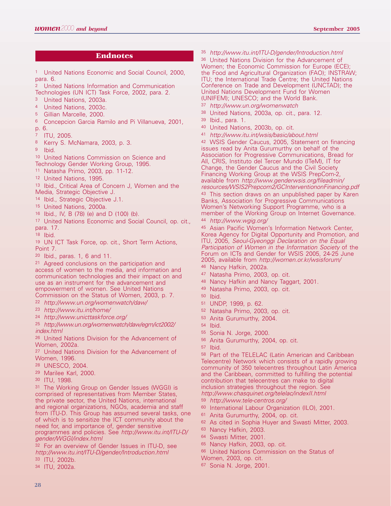## **Endnotes**

<sup>1</sup> United Nations Economic and Social Council, 2000, para. 6.

- <sup>2</sup> United Nations Information and Communication Technologies (UN ICT) Task Force, 2002, para. 2.
- <sup>3</sup> United Nations, 2003a.
- <sup>4</sup> United Nations, 2003c.
- <sup>5</sup> Gillian Marcelle, 2000.
- <sup>6</sup> Concepcion Garcia Ramilo and Pi Villanueva, 2001,
- p. 6.
- <sup>7</sup> ITU, 2005.
- <sup>8</sup> Kerry S. McNamara, 2003, p. 3.
- <sup>9</sup> Ibid.

<sup>10</sup> United Nations Commission on Science and Technology Gender Working Group, 1995.

- <sup>11</sup> Natasha Primo, 2003, pp. 11-12.
- <sup>12</sup> United Nations, 1995.
- 13 Ibid., Critical Area of Concern J, Women and the Media, Strategic Objective J.
- 14 Ibid., Strategic Objective J.1.
- 15 United Nations, 2000a.
- 16 Ibid., IV, B (78) (e) and D (100) (b).
- 17 United Nations Economic and Social Council, op. cit., para. 17.
- 18 Ibid.
- 19 UN ICT Task Force, op. cit., Short Term Actions, Point 7.
- 20 Ibid., paras. 1, 6 and 11.
- 21 Agreed conclusions on the participation and access of women to the media, and information and communication technologies and their impact on and use as an instrument for the advancement and empowerment of women. See United Nations Commission on the Status of Women, 2003, p. 7.
- 22 http://www.un.org/womenwatch/daw/
- 23 http://www.itu.int/home/
- 24 http://www.unicttaskforce.org/
- 25 http://www.un.org/womenwatch/daw/egm/ict2002/ index.html

26 United Nations Division for the Advancement of Women, 2002a.

<sup>27</sup> United Nations Division for the Advancement of Women, 1996.

- <sup>28</sup> UNESCO, 2004.
- <sup>29</sup> Marilee Karl, 2000.
- <sup>30</sup> ITU, 1998.

<sup>31</sup> The Working Group on Gender Issues (WGGI) is comprised of representatives from Member States, the private sector, the United Nations, international and regional organizations, NGOs, academia and staff from ITU-D. This Group has assumed several tasks, one of which is to sensitize the ICT community about the need for, and importance of, gender sensitive programmes and policies. See http://www.itu.int/ITU-D/ gender/WGGI/index.html

32 For an overview of Gender Issues in ITU-D, see http://www.itu.int/ITU-D/gender/Introduction.html 33 ITU, 2002b.

34 ITU, 2002a.

35 http://www.itu.int/ITU-D/gender/Introduction.html

<sup>36</sup> United Nations Division for the Advancement of Women; the Economic Commission for Europe (ECE); the Food and Agricultural Organization (FAO); INSTRAW; ITU; the International Trade Centre; the United Nations Conference on Trade and Development (UNCTAD); the United Nations Development Fund for Women (UNIFEM); UNESCO; and the World Bank.

- 37 http://www.un.org/womenwatch
- <sup>38</sup> United Nations, 2003a, op. cit., para. 12.
- <sup>39</sup> Ibid., para. 1.
- <sup>40</sup> United Nations, 2003b, op. cit.
- 41 http://www.itu.int/wsis/basic/about.html

<sup>42</sup> WSIS Gender Caucus, 2005, Statement on financing issues read by Anita Gurumurthy on behalf of the Association for Progressive Communications, Bread for All, CRIS, Instituto del Tercer Mundo (ITeM), IT for Change, the Gender Caucus and the Civil Society Financing Working Group at the WSIS PrepCom-2, available from http://www.genderwsis.org/fileadmin/ resources/WSIS2Prepcom2/GCInterventiononFinancing.pdf 43 This section draws on an unpublished paper by Karen Banks, Association for Progressive Communications Women's Networking Support Programme, who is a member of the Working Group on Internet Governance. 44 http://www.wgig.org/

45 Asian Pacific Women's Information Network Center, Korea Agency for Digital Opportunity and Promotion, and ITU, 2005, Seoul-Gyeonggi Declaration on the Equal Participation of Women in the Information Society of the Forum on ICTs and Gender for WSIS 2005, 24-25 June 2005, available from http://women.or.kr/wsisforum/

- 46 Nancy Hafkin, 2002a.
- 47 Natasha Primo, 2003, op. cit.
- 48 Nancy Hafkin and Nancy Taggart, 2001.
- 49 Natasha Primo, 2003, op. cit.
- 50 Ibid.
- 51 UNDP, 1999, p. 62.
- 52 Natasha Primo, 2003, op. cit.
- 53 Anita Gurumurthy, 2004.
- 54 Ibid.
- 55 Sonia N. Jorge, 2000.
- 56 Anita Gurumurthy, 2004, op. cit.
- <sup>57</sup> Ibid.

<sup>58</sup> Part of the TELELAC (Latin American and Caribbean Telecentre) Network which consists of a rapidly growing community of 350 telecentres throughout Latin America and the Caribbean, committed to fulfilling the potential contribution that telecentres can make to digital inclusion strategies throughout the region. See http://www.chasquinet.org/telelac/indexII.html

- 59 http://www.tele-centros.org/
- <sup>60</sup> International Labour Organization (ILO), 2001.
- <sup>61</sup> Anita Gurumurthy, 2004, op. cit.
- 62 As cited in Sophia Huyer and Swasti Mitter, 2003.
- 63 Nancy Hafkin, 2003.
- 64 Swasti Mitter, 2001.
- 65 Nancy Hafkin, 2003, op. cit.
- 66 United Nations Commission on the Status of Women, 2003, op. cit.
- <sup>67</sup> Sonia N. Jorge, 2001.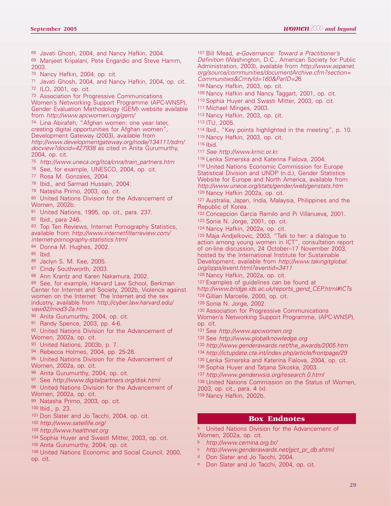<sup>68</sup> Javati Ghosh, 2004, and Nancy Hafkin, 2004.

<sup>69</sup> Manjeet Kripalani, Pete Engardio and Steve Hamm, 2003.

<sup>70</sup> Nancy Hafkin, 2004, op. cit.

<sup>71</sup> Javati Ghosh, 2004, and Nancy Hafkin, 2004, op. cit. <sup>72</sup> ILO, 2001, op. cit.

<sup>73</sup> Association for Progressive Communications Women's Networking Support Programme (APC-WNSP),

Gender Evaluation Methodology (GEM) website available from http://www.apcwomen.org/gem/

<sup>74</sup> Lina Abirafeh, "Afghan women: one year later, creating digital opportunities for Afghan women", Development Gateway (2003), available from http://www.developmentgateway.org/node/134111/sdm/ docview?docid=427938 as cited in Anita Gurumurthy, 2004, op. cit.

75 http://www.uneca.org/itca/cnra/train\_partners.htm

<sup>76</sup> See, for example, UNESCO, 2004, op. cit.

<sup>77</sup> Rosa M. Gonzales, 2004.

78 Ibid., and Sarmad Hussain, 2004.

79 Natasha Primo, 2003, op. cit.

80 United Nations Division for the Advancement of Women, 2002b.

81 United Nations, 1995, op. cit., para. 237.

82 Ibid., para 246.

83 Top Ten Reviews, Internet Pornography Statistics, available from http://www.internetfilterreview.com/ internet-pornography-statistics.html

84 Donna M. Hughes, 2002.

85 Ibid.

- 86 Jaclyn S. M. Kee, 2005.
- 87 Cindy Southworth, 2003.
- 88 Ann Krantz and Karen Nakamura, 2002.

89 See, for example, Harvard Law School, Berkman Center for Internet and Society, 2002b, Violence against women on the Internet: The Internet and the sex industry, available from http://cyber.law.harvard.edu/ vaw02/mod3-2a.htm

90 Anita Gurumurthy, 2004, op. cit.

91 Randy Spence, 2003, pp. 4-6.

92 United Nations Division for the Advancement of Women, 2002a, op. cit.

93 United Nations, 2003b, p. 7.

<sup>94</sup> Rebecca Holmes, 2004, pp. 25-28.

95 United Nations Division for the Advancement of Women, 2002a, op. cit.

96 Anita Gurumurthy, 2004, op. cit.

<sup>97</sup> See http://www.digitalpartners.org/disk.html

98 United Nations Division for the Advancement of Women, 2002a, op. cit.

<sup>99</sup> Natasha Primo, 2003, op. cit.

<sup>100</sup> Ibid., p. 23.

<sup>101</sup> Don Slater and Jo Tacchi, 2004, op. cit.

102 http://www.satellife.org/

103 http://www.healthnet.org

104 Sophia Huyer and Swasti Mitter, 2003, op. cit.

105 Anita Gurumurthy, 2004, op. cit.

106 United Nations Economic and Social Council, 2000, op. cit.

<sup>107</sup> Bill Mead, e-Governance: Toward a Practitioner's Definition (Washington, D.C., American Society for Public Administration, 2003), available from http://www.aspanet. org/source/communities/documentArchive.cfm?section= Communities&CmtyId=160&ParID=26

<sup>108</sup> Nancy Hafkin, 2003, op. cit.

- <sup>109</sup> Nancy Hafkin and Nancy Taggart, 2001, op. cit.
- <sup>110</sup> Sophia Huyer and Swasti Mitter, 2003, op. cit.
- <sup>111</sup> Michael Minges, 2003.
- <sup>112</sup> Nancy Hafkin, 2003, op. cit.
- <sup>113</sup> ITU, 2005.
- <sup>114</sup> Ibid., "Key points highlighted in the meeting", p. 10.

<sup>115</sup> Nancy Hafkin, 2003, op. cit.

- <sup>116</sup> Ibid.
- 117 See http://www.krnic.or.kr.
- <sup>118</sup> Lenka Simerska and Katerina Fialova, 2004.

<sup>119</sup> United Nations Economic Commission for Europe Statistical Division and UNDP (n.d.), Gender Statistics Website for Europe and North America, available from http://www.unece.org/stats/gender/web/genstats.htm 120 Nancy Hafkin 2002a, op. cit.

121 Australia, Japan, India, Malaysia, Philippines and the Republic of Korea.

122 Concepcion Garcia Ramilo and Pi Villanueva, 2001.

123 Sonia N. Jorge, 2001, op. cit.

124 Nancy Hafkin, 2002a, op. cit.

125 Maja Andjelkovic, 2003, "Talk to her: a dialogue to action among young women in ICT", consultation report of on-line discussion, 24 October–17 November 2003, hosted by the International Institute for Sustainable

Development, available from http://www.takingitglobal. org/opps/event.html?eventid=3411

126 Nancy Hafkin, 2002a, op. cit.

127 Examples of guidelines can be found at http://www.bridge.ids.ac.uk/reports\_gend\_CEP.html#ICTs

128 Gillian Marcelle, 2000, op. cit.

129 Sonia N. Jorge, 2002.

130 Association for Progressive Communications Women's Networking Support Programme, (APC-WNSP), op. cit.

131 See http://www.apcwomen.org

- 132 See http://www.globalknowledge.org
- 133 http://www.genderawards.net/the\_awards/2005.htm
- 134 http://ictupdate.cta.int/index.php/article/frontpage/29
- <sup>135</sup> Lenka Simerska and Katerina Fialova, 2004, op. cit.
- <sup>136</sup> Sophia Huyer and Tatjana Sikoska, 2003.

137 http://www.genderwsis.org/research.0.html

<sup>138</sup> United Nations Commission on the Status of Women,

2003, op. cit., para. 4 (x).

<sup>139</sup> Nancy Hafkin, 2002b.

#### **Box Endnotes**

United Nations Division for the Advancement of Women, 2002a, op. cit.

- b http://www.cemina.org.br/
- c http://www.genderawards.net/gict\_pr\_db.shtml
- d Don Slater and Jo Tacchi, 2004.
- <sup>e</sup> Don Slater and Jo Tacchi, 2004, op. cit.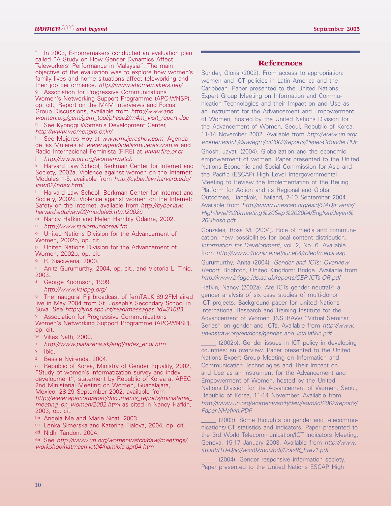In 2003, E-homemakers conducted an evaluation plan called "A Study on How Gender Dynamics Affect Teleworkers' Performance in Malaysia". The main objective of the evaluation was to explore how women's family lives and home situations affect teleworking and their job performance. http://www.ehomemakers.net/ <sup>g</sup> Association for Progressive Communications Women's Networking Support Programme (APC-WNSP), op. cit., Report on the M4M Interviews and Focus Group Discussions, available from http://www.apc women.org/gem/gem\_tool/phase2/m4m\_visit\_report.doc h See Kyonggi Women's Development Center,

http://www.womenpro.or.kr/

See Mujeres Hoy at www.mujereshoy.com, Agenda de las Mujeres at www.agendadelasmujeres.com.ar and Radio Internacional Feminista (FIRE) at www.fire.or.cr

http://www.un.org/womenwatch

<sup>k</sup> Harvard Law School, Berkman Center for Internet and Society, 2002a, Violence against women on the Internet: Modules 1-5, available from http://cyber.law.harvard.edu/ vaw02/index.html

Harvard Law School, Berkman Center for Internet and Society, 2002c, Violence against women on the Internet: Safety on the Internet, available from http://cyber.law. harvard.edu/vaw02/module5.html2002c

m Nancy Hafkin and Helen Hambly Odame, 2002.

n http://www.radiomundoreal.fm

o United Nations Division for the Advancement of Women, 2002b, op. cit.

p United Nations Division for the Advancement of Women, 2002b, op. cit.

q R. Siaciwena, 2000.

Anita Gurumurthy, 2004, op. cit., and Victoria L. Tinio, 2003.

- s George Koomson, 1999.<br>t http://www.kaippg.org/
- 

u The inaugural Fiji broadcast of femTALK 89.2FM aired live in May 2004 from St. Joseph's Secondary School in Suva. See http://lyris.spc.int/read/messages?id=31083

Association for Progressive Communications Women's Networking Support Programme (APC-WNSP), op. cit.

- w Vikas Nath, 2000.
- x http://www.piatazena.sk/engl/index\_engl.htm
- <sup>y</sup> Ibid.
- <sup>z</sup> Bessie Nyirenda, 2004.

aa Republic of Korea, Ministry of Gender Equality, 2002, "Study of women's informatization survey and index development", statement by Republic of Korea at APEC 2nd Ministerial Meeting on Women, Guadalajara, Mexico, 28-29 September 2002, available from

http://www.apec.org/apec/documents\_reports/ministerial\_ meeting\_on\_women/2002.html as cited in Nancy Hafkin, 2003, op. cit.

bb Angela Me and Marie Sicat, 2003.

cc Lenka Simerska and Katerina Fialova, 2004, op. cit.

dd Nidhi Tandon, 2004.

ee See http://www.un.org/womenwatch/daw/meetings/ workshop/natmach-ict04/namibia-apr04.htm

#### **References**

Bonder, Gloria (2002). From access to appropriation: women and ICT policies in Latin America and the Caribbean. Paper presented to the United Nations Expert Group Meeting on Information and Communication Technologies and their Impact on and Use as an Instrument for the Advancement and Empowerment of Women, hosted by the United Nations Division for the Advancement of Women, Seoul, Republic of Korea, 11-14 November 2002. Available from http://www.un.org/ womenwatch/daw/egm/ict2002/reports/Paper-GBonder.PDF

Ghosh, Jayati (2004). Globalization and the economic empowerment of women. Paper presented to the United Nations Economic and Social Commission for Asia and the Pacific (ESCAP) High Level Intergovernmental Meeting to Review the Implementation of the Beijing Platform for Action and its Regional and Global Outcomes, Bangkok, Thailand, 7-10 September 2004. Available from http://www.unescap.org/esid/GAD/Events/ High-level%20meeting%20Sep%202004/English/Jayati% 20Ghosh.pdf

Gonzales, Rosa M. (2004). Role of media and communication: new possibilities for local content distribution. Information for Development, vol. 2, No. 6. Available from http://www.i4donline.net/june04/roleofmedia.asp

Gurumurthy, Anita (2004). Gender and ICTs: Overview Report. Brighton, United Kingdom: Bridge. Available from http://www.bridge.ids.ac.uk/reports/CEP-ICTs-OR.pdf

Hafkin, Nancy (2002a). Are ICTs gender neutral?: a gender analysis of six case studies of multi-donor ICT projects. Background paper for United Nations International Research and Training Institute for the Advancement of Women (INSTRAW) "Virtual Seminar Series" on gender and ICTs. Available from http://www. un-instraw.org/en/docs/gender\_and\_ict/Hafkin.pdf

(2002b). Gender issues in ICT policy in developing countries: an overview. Paper presented to the United Nations Expert Group Meeting on Information and Communication Technologies and Their Impact on and Use as an Instrument for the Advancement and Empowerment of Women, hosted by the United Nations Division for the Advancement of Women, Seoul, Republic of Korea, 11-14 November. Available from http://www.un.org/womenwatch/daw/egm/ict2002/reports/ Paper-NHafkin.PDF

(2003). Some thoughts on gender and telecommunications/ICT statistics and indicators. Paper presented to the 3rd World Telecommunication/ICT Indicators Meeting, Geneva, 15-17 January 2003. Available from http://www. itu.int/ITU-D/ict/wict02/doc/pdf/Doc46\_Erev1.pdf

\_\_\_\_\_ (2004). Gender responsive information society. Paper presented to the United Nations ESCAP High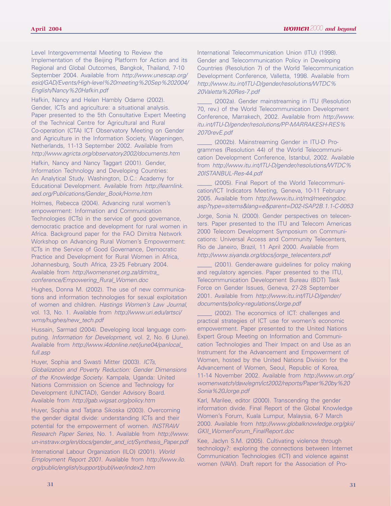Level Intergovernmental Meeting to Review the Implementation of the Beijing Platform for Action and its Regional and Global Outcomes, Bangkok, Thailand, 7-10 September 2004. Available from http://www.unescap.org/ esid/GAD/Events/High-level%20meeting%20Sep%202004/ English/Nancy%20Hafkin.pdf

Hafkin, Nancy and Helen Hambly Odame (2002). Gender, ICTs and agriculture: a situational analysis. Paper presented to the 5th Consultative Expert Meeting of the Technical Centre for Agricultural and Rural Co-operation (CTA) ICT Observatory Meeting on Gender and Agriculture in the Information Society, Wageningen, Netherlands, 11-13 September 2002. Available from http://www.agricta.org/observatory2002/documents.htm

Hafkin, Nancy and Nancy Taggart (2001). Gender, Information Technology and Developing Countries: An Analytical Study. Washington, D.C.: Academy for Educational Development. Available from http://learnlink. aed.org/Publications/Gender\_Book/Home.htm

Holmes, Rebecca (2004). Advancing rural women's empowerment: Information and Communication Technologies (ICTs) in the service of good governance, democratic practice and development for rural women in Africa. Background paper for the FAO Dimitra Network Workshop on Advancing Rural Women's Empowerment: ICTs in the Service of Good Governance, Democratic Practice and Development for Rural Women in Africa, Johannesburg, South Africa, 23-25 February 2004. Available from http://womensnet.org.za/dimitra\_ conference/Empowering\_Rural\_Women.doc

Hughes, Donna M. (2002). The use of new communications and information technologies for sexual exploitation of women and children. Hastings Women's Law Journal, vol. 13, No. 1. Available from http://www.uri.edu/artsci/ wms/hughes/new\_tech.pdf

Hussain, Sarmad (2004). Developing local language computing. Information for Development, vol. 2, No. 6 (June). Available from http://www.i4donline.net/june04/panlocal\_ full.asp

Huyer, Sophia and Swasti Mitter (2003). ICTs, Globalization and Poverty Reduction: Gender Dimensions of the Knowledge Society. Kampala, Uganda: United Nations Commission on Science and Technology for Development (UNCTAD), Gender Advisory Board. Available from http://gab.wigsat.org/policy.htm

Huyer, Sophia and Tatjana Sikoska (2003). Overcoming the gender digital divide: understanding ICTs and their potential for the empowerment of women. INSTRAW Research Paper Series, No. 1. Available from http://www. un-instraw.org/en/docs/gender\_and\_ict/Synthesis\_Paper.pdf

International Labour Organization (ILO) (2001). World Employment Report 2001. Available from http://www.ilo. org/public/english/support/publ/wer/index2.htm

International Telecommunication Union (ITU) (1998). Gender and Telecommunication Policy in Developing Countries (Resolution 7) of the World Telecommunication Development Conference, Valletta, 1998. Available from http://www.itu.int/ITU-D/gender/resolutions/WTDC% 20Valetta%20Res-7.pdf

(2002a). Gender mainstreaming in ITU (Resolution 70, rev.) of the World Telecommunication Development Conference, Marrakech, 2002. Available from http://www. itu.int/ITU-D/gender/resolutions/PP-MARRAKESH-RES% 2070revE.pdf

\_\_\_\_\_ (2002b). Mainstreaming Gender in ITU-D Programmes (Resolution 44) of the World Telecommunication Development Conference, Istanbul, 2002. Available from http://www.itu.int/ITU-D/gender/resolutions/WTDC% 20ISTANBUL-Res-44.pdf

(2005). Final Report of the World Telecommunication/ICT Indicators Meeting, Geneva, 10-11 February 2005. Available from http://www.itu.int/md/meetingdoc. asp?type=sitems&lang=e&parent=D02-ISAP2B.1.1-C-0053 Jorge, Sonia N. (2000). Gender perspectives on telecen-

ters. Paper presented to the ITU and Telecom Americas 2000 Telecom Development Symposium on Communications: Universal Access and Community Telecenters, Rio de Janeiro, Brazil, 11 April 2000. Available from http://www.siyanda.org/docs/jorge\_telecenters.pdf

(2001). Gender-aware guidelines for policy making and regulatory agencies. Paper presented to the ITU, Telecommunication Development Bureau (BDT) Task Force on Gender Issues, Geneva, 27-28 September 2001. Available from http://www.itu.int/ITU-D/gender/ documents/policy-regulations/Jorge.pdf

(2002). The economics of ICT: challenges and practical strategies of ICT use for women's economic empowerment. Paper presented to the United Nations Expert Group Meeting on Information and Communication Technologies and Their Impact on and Use as an Instrument for the Advancement and Empowerment of Women, hosted by the United Nations Division for the Advancement of Women, Seoul, Republic of Korea, 11-14 November 2002. Available from http://www.un.org/ womenwatch/daw/egm/ict2002/reports/Paper%20by%20 Sonia%20Jorge.pdf

Karl, Marilee, editor (2000). Transcending the gender information divide. Final Report of the Global Knowledge Women's Forum, Kuala Lumpur, Malaysia, 6-7 March 2000. Available from http://www.globalknowledge.org/gkii/ GKII\_WomenForum\_FinalReport.doc

Kee, Jaclyn S.M. (2005). Cultivating violence through technology?: exploring the connections between Internet Communication Technologies (ICT) and violence against women (VAW). Draft report for the Association of Pro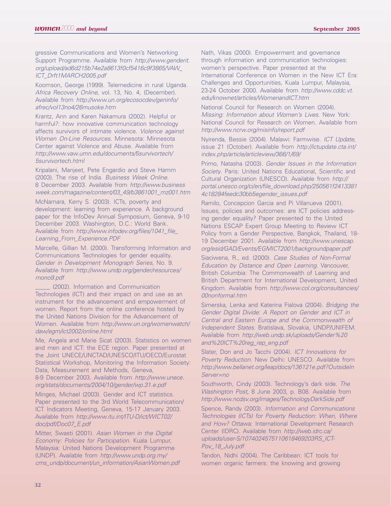gressive Communications and Women's Networking Support Programme. Available from http://www.genderit. org/upload/ad6d215b74e2a8613f0cf5416c9f3865/VAW\_ ICT\_Drft1MARCH2005.pdf

Koomson, George (1999). Telemedicine in rural Uganda. Africa Recovery Online, vol. 13, No. 4, (December). Available from http://www.un.org/ecosocdev/geninfo/ afrec/vol13no4/26musoke.htm

Krantz, Ann and Karen Nakamura (2002). Helpful or harmful?: how innovative communication technology affects survivors of intimate violence. Violence against Women On-Line Resources. Minnesota: Minnesota Center against Violence and Abuse. Available from http://www.vaw.umn.edu/documents/5survivortech/ 5survivortech.html

Kripalani, Manjeet, Pete Engardio and Steve Hamm (2003). The rise of India. Business Week Online. 8 December 2003. Available from http://www.business week.com/magazine/content/03\_49/b3861001\_mz001.htm

McNamara, Kerry S. (2003). ICTs, poverty and development: learning from experience. A background paper for the InfoDev Annual Symposium, Geneva, 9-10 December 2003. Washington, D.C.: World Bank. Available from http://www.infodev.org/files/1041\_file\_ Learning\_From\_Experience.PDF

Marcelle, Gillian M. (2000). Transforming Information and Communications Technologies for gender equality. Gender in Development Monograph Series, No. 9. Available from http://www.undp.org/gender/resources/ mono9.pdf

(2002). Information and Communication Technologies (ICT) and their impact on and use as an instrument for the advancement and empowerment of women. Report from the online conference hosted by the United Nations Division for the Advancement of Women. Available from http://www.un.org/womenwatch/ daw/egm/ict2002/online.html

Me, Angela and Marie Sicat (2003). Statistics on women and men and ICT: the ECE region. Paper presented at the Joint UNECE/UNCTAD/UNESCO/ITU/OECD/Eurostat Statistical Workshop, Monitoring the Information Society: Data, Measurement and Methods, Geneva,

8-9 December 2003. Available from http://www.unece. org/stats/documents/2004/10/gender/wp.31.e.pdf

Minges, Michael (2003). Gender and ICT statistics. Paper presented to the 3rd World Telecommunication/ ICT Indicators Meeting, Geneva, 15-17 January 2003. Available from http://www.itu.int/ITU-D/ict/WICT02/ doc/pdf/Doc07\_E.pdf

Mitter, Swasti (2001). Asian Women in the Digital Economy: Policies for Participation. Kuala Lumpur, Malaysia: United Nations Development Programme (UNDP). Available from http://www.undp.org.my/ cms\_undp/document/un\_information/AsianWomen.pdf Nath, Vikas (2000). Empowerment and governance through information and communication technologies: women's perspective. Paper presented at the International Conference on Women in the New ICT Era: Challenges and Opportunities, Kuala Lumpur, Malaysia, 23-24 October 2000. Available from http://www.cddc.vt. edu/knownet/articles/WomenandICT.htm

National Council for Research on Women (2004). Missing: Information about Women's Lives. New York: National Council for Research on Women. Available from http://www.ncrw.org/misinfo/report.pdf

Nyirenda, Bessie (2004). Malawi: Farmwise. ICT Update, issue 21 (October). Available from http://ictupdate.cta.int/ index.php/article/articleview/366/1/69/

Primo, Natasha (2003). Gender Issues in the Information Society. Paris: United Nations Educational, Scientific and Cultural Organization (UNESCO). Available from http:// portal.unesco.org/ci/en/file\_download.php/250561f2413381 4c18284feedc30bb5egender\_issues.pdf

Ramilo, Concepcion Garcia and Pi Villanueva (2001). Issues, policies and outcomes: are ICT policies addressing gender equality? Paper presented to the United Nations ESCAP Expert Group Meeting to Review ICT Policy from a Gender Perspective, Bangkok, Thailand, 18- 19 December 2001. Available from http://www.unescap. org/esid/GAD/Events/EGMICT2001/backgroundpaper.pdf

Siaciwena, R., ed. (2000). Case Studies of Non-Formal Education by Distance and Open Learning. Vancouver, British Columbia: The Commonwealth of Learning and British Department for International Development, United Kingdom. Available from http://www.col.org/consultancies/ 00nonformal.htm

Simerska, Lenka and Katerina Fialova (2004). Bridging the Gender Digital Divide: A Report on Gender and ICT in Central and Eastern Europe and the Commonwealth of Independent States. Bratislava, Slovakia, UNDP/UNIFEM. Available from http://web.undp.sk/uploads/Gender%20 and%20ICT%20reg\_rep\_eng.pdf

Slater, Don and Jo Tacchi (2004). ICT Innovations for Poverty Reduction. New Delhi: UNESCO. Available from http://www.bellanet.org/leap/docs/136121e.pdf?OutsideIn Server=no

Southworth, Cindy (2003). Technology's dark side. The Washington Post, 8 June 2003, p. B08. Available from http://www.ncdsv.org/images/TechnologyDarkSide.pdf

Spence, Randy (2003). Information and Communications Technologies (ICTs) for Poverty Reduction: When, Where and How? Ottawa: International Development Research Center (IDRC). Available from http://web.idrc.ca/ uploads/user-S/1074024575110618469203RS\_ICT-Pov\_18\_July.pdf

Tandon, Nidhi (2004). The Caribbean: ICT tools for women organic farmers: the knowing and growing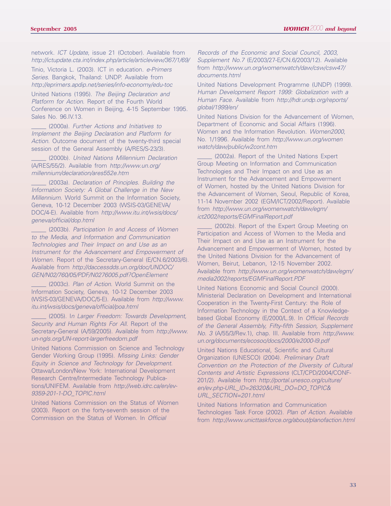network. ICT Update, issue 21 (October). Available from http://ictupdate.cta.int/index.php/article/articleview/367/1/69/

Tinio, Victoria L. (2003). ICT in education. e-Primers Series. Bangkok, Thailand: UNDP. Available from http://eprimers.apdip.net/series/info-economy/edu-toc

United Nations (1995). The Beijing Declaration and Platform for Action. Report of the Fourth World Conference on Women in Beijing, 4-15 September 1995. Sales No. 96.IV.13.

(2000a). Further Actions and Initiatives to Implement the Beijing Declaration and Platform for Action. Outcome document of the twenty-third special session of the General Assembly (A/RES/S-23/3).

(2000b). United Nations Millennium Declaration (A/RES/55/2). Available from http://www.un.org/ millennium/declaration/ares552e.htm

\_\_\_\_\_ (2003a). Declaration of Principles. Building the Information Society: A Global Challenge in the New Millennium. World Summit on the Information Society, Geneva, 10-12 December 2003 (WSIS-03/GENEVA/ DOC/4-E). Available from http://www.itu.int/wsis/docs/ geneva/official/dop.html

(2003b). Participation In and Access of Women to the Media, and Information and Communication Technologies and Their Impact on and Use as an Instrument for the Advancement and Empowerment of Women. Report of the Secretary-General (E/CN.6/2003/6). Available from http://daccessdds.un.org/doc/UNDOC/ GEN/N02/760/05/PDF/N0276005.pdf?OpenElement

(2003c). Plan of Action. World Summit on the Information Society, Geneva, 10-12 December 2003 (WSIS-03/GENEVA/DOC/5-E). Available from http://www. itu.int/wsis/docs/geneva/official/poa.html

(2005). In Larger Freedom: Towards Development, Security and Human Rights For All. Report of the Secretary-General (A/59/2005). Available from http://www. un-ngls.org/UN-report-largerfreedom.pdf

United Nations Commission on Science and Technology Gender Working Group (1995). Missing Links: Gender Equity in Science and Technology for Development. Ottawa/London/New York: International Development Research Centre/Intermediate Technology Publications/UNIFEM. Available from http://web.idrc.ca/en/ev-9359-201-1-DO\_TOPIC.html

United Nations Commission on the Status of Women (2003). Report on the forty-seventh session of the Commission on the Status of Women. In Official

Records of the Economic and Social Council, 2003, Supplement No.7 (E/2003/27-E/CN.6/2003/12). Available from http://www.un.org/womenwatch/daw/csw/csw47/ documents.html

United Nations Development Programme (UNDP) (1999). Human Development Report 1999: Globalization with a Human Face. Available from http://hdr.undp.org/reports/ global/1999/en/

United Nations Division for the Advancement of Women, Department of Economic and Social Affairs (1996). Women and the Information Revolution. Women2000, No. 1/1996. Available from http://www.un.org/women watch/daw/public/w2cont.htm

(2002a). Report of the United Nations Expert Group Meeting on Information and Communication Technologies and Their Impact on and Use as an Instrument for the Advancement and Empowerment of Women, hosted by the United Nations Division for the Advancement of Women, Seoul, Republic of Korea, 11-14 November 2002 (EGM/ICT/2002/Report). Available from http://www.un.org/womenwatch/daw/egm/ ict2002/reports/EGMFinalReport.pdf

(2002b). Report of the Expert Group Meeting on Participation and Access of Women to the Media and Their Impact on and Use as an Instrument for the Advancement and Empowerment of Women, hosted by the United Nations Division for the Advancement of Women, Beirut, Lebanon, 12-15 November 2002. Available from http://www.un.org/womenwatch/daw/egm/ media2002/reports/EGMFinalReport.PDF

United Nations Economic and Social Council (2000). Ministerial Declaration on Development and International Cooperation in the Twenty-First Century: the Role of Information Technology in the Context of a Knowledgebased Global Economy (E/2000/L.9). In Official Records of the General Assembly, Fifty-fifth Session, Supplement No. 3 (A/55/3/Rev.1), chap. III. Available from http://www. un.org/documents/ecosoc/docs/2000/e2000-l9.pdf

United Nations Educational, Scientific and Cultural Organization (UNESCO) (2004). Preliminary Draft Convention on the Protection of the Diversity of Cultural Contents and Artistic Expressions (CLT/CPD/2004/CONF-201/2). Available from http://portal.unesco.org/culture/ en/ev.php-URL\_ID=26320&URL\_DO=DO\_TOPIC& URL\_SECTION=201.html

United Nations Information and Communication Technologies Task Force (2002). Plan of Action. Available from http://www.unicttaskforce.org/about/planofaction.html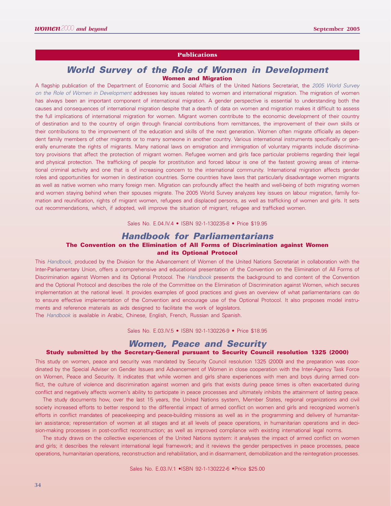#### **Publications**

## **World Survey of the Role of Women in Development Women and Migration**

A flagship publication of the Department of Economic and Social Affairs of the United Nations Secretariat, the 2005 World Survey on the Role of Women in Development addresses key issues related to women and international migration. The migration of women has always been an important component of international migration. A gender perspective is essential to understanding both the causes and consequences of international migration despite that a dearth of data on women and migration makes it difficult to assess the full implications of international migration for women. Migrant women contribute to the economic development of their country of destination and to the country of origin through financial contributions from remittances, the improvement of their own skills or their contributions to the improvement of the education and skills of the next generation. Women often migrate officially as dependent family members of other migrants or to marry someone in another country. Various international instruments specifically or generally enumerate the rights of migrants. Many national laws on emigration and immigration of voluntary migrants include discriminatory provisions that affect the protection of migrant women. Refugee women and girls face particular problems regarding their legal and physical protection. The trafficking of people for prostitution and forced labour is one of the fastest growing areas of international criminal activity and one that is of increasing concern to the international community. International migration affects gender roles and opportunities for women in destination countries. Some countries have laws that particularly disadvantage women migrants as well as native women who marry foreign men. Migration can profoundly affect the health and well-being of both migrating women and women staying behind when their spouses migrate. The 2005 World Survey analyzes key issues on labour migration, family formation and reunification, rights of migrant women, refugees and displaced persons, as well as trafficking of women and girls. It sets out recommendations, which, if adopted, will improve the situation of migrant, refugee and trafficked women.

Sales No. E.04.IV.4 • ISBN 92-1-130235-8 • Price \$19.95

# **Handbook for Parliamentarians The Convention on the Elimination of All Forms of Discrimination against Women and its Optional Protocol**

This Handbook, produced by the Division for the Advancement of Women of the United Nations Secretariat in collaboration with the Inter-Parliamentary Union, offers a comprehensive and educational presentation of the Convention on the Elimination of All Forms of Discrimination against Women and its Optional Protocol. The Handbook presents the background to and content of the Convention and the Optional Protocol and describes the role of the Committee on the Elimination of Discrimination against Women, which secures implementation at the national level. It provides examples of good practices and gives an overview of what parliamentarians can do to ensure effective implementation of the Convention and encourage use of the Optional Protocol. It also proposes model instruments and reference materials as aids designed to facilitate the work of legislators.

The Handbook is available in Arabic, Chinese, English, French, Russian and Spanish.

Sales No. E.03.IV.5 • ISBN 92-1-130226-9 • Price \$18.95

# **Women, Peace and Security**

#### **Study submitted by the Secretary-General pursuant to Security Council resolution 1325 (2000)**

This study on women, peace and security was mandated by Security Council resolution 1325 (2000) and the preparation was coordinated by the Special Adviser on Gender Issues and Advancement of Women in close cooperation with the Inter-Agency Task Force on Women, Peace and Security. It indicates that while women and girls share experiences with men and boys during armed conflict, the culture of violence and discrimination against women and girls that exists during peace times is often exacerbated during conflict and negatively affects women's ability to participate in peace processes and ultimately inhibits the attainment of lasting peace.

The study documents how, over the last 15 years, the United Nations system, Member States, regional organizations and civil society increased efforts to better respond to the differential impact of armed conflict on women and girls and recognized women's efforts in conflict mandates of peacekeeping and peace-building missions as well as in the programming and delivery of humanitarian assistance; representation of women at all stages and at all levels of peace operations, in humanitarian operations and in decision-making processes in post-conflict reconstruction; as well as improved compliance with existing international legal norms.

The study draws on the collective experiences of the United Nations system: it analyses the impact of armed conflict on women and girls; it describes the relevant international legal framework; and it reviews the gender perspectives in peace processes, peace operations, humanitarian operations, reconstruction and rehabilitation, and in disarmament, demobilization and the reintegration processes.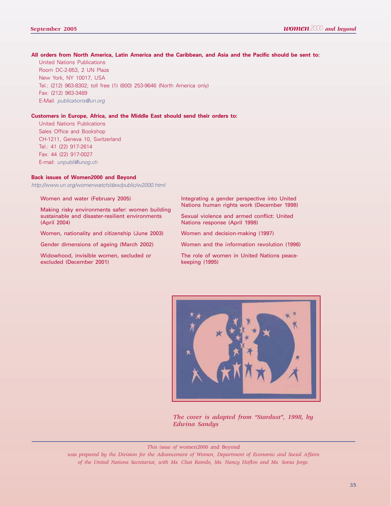#### **All orders from North America, Latin America and the Caribbean, and Asia and the Pacific should be sent to:**

United Nations Publications Room DC-2-853, 2 UN Plaza New York, NY 10017, USA Tel.: (212) 963-8302; toll free (1) (800) 253-9646 (North America only) Fax: (212) 963-3489 E-Mail: publications@un.org

#### **Customers in Europe, Africa, and the Middle East should send their orders to:**

United Nations Publications Sales Office and Bookshop CH-1211, Geneva 10, Switzerland Tel.: 41 (22) 917-2614 Fax: 44 (22) 917-0027 E-mail: unpubli@unog.ch

#### **Back issues of Women2000 and Beyond**

http://www.un.org/womenwatch/daw/public/w2000.html

Women and water (February 2005)

Making risky environments safer: women building sustainable and disaster-resilient environments (April 2004)

Women, nationality and citizenship (June 2003)

Gender dimensions of ageing (March 2002)

Widowhood, invisible women, secluded or excluded (December 2001)

Integrating a gender perspective into United Nations human rights work (December 1998)

Sexual violence and armed conflict: United Nations response (April 1998)

Women and decision-making (1997)

Women and the information revolution (1996)

The role of women in United Nations peacekeeping (1995)



*The cover is adapted from "Stardust", 1998, by Edwina Sandys*

*This issue of* women2000 and Beyond

*was prepared by the Division for the Advancement of Women, Department of Economic and Social Affairs of the United Nations Secretariat, with Ms. Chat Ramilo, Ms. Nancy Hafkin and Ms. Sonia Jorge.*